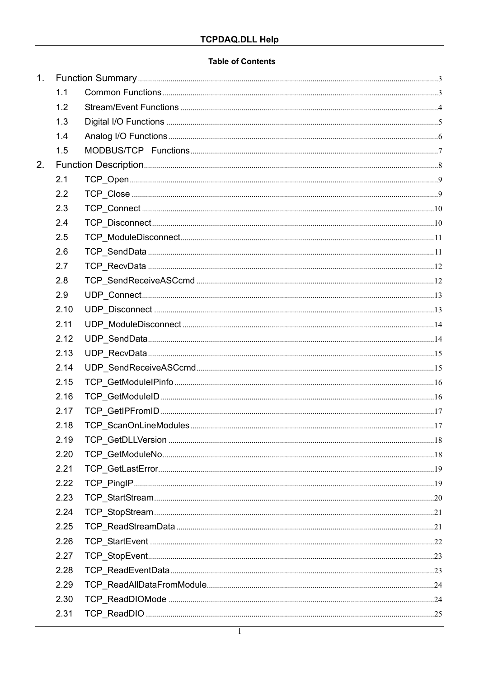### **Table of Contents**

| 1. |      |  |  |
|----|------|--|--|
|    | 1.1  |  |  |
|    | 1.2  |  |  |
|    | 1.3  |  |  |
|    | 1.4  |  |  |
|    | 1.5  |  |  |
| 2. |      |  |  |
|    | 2.1  |  |  |
|    | 2.2  |  |  |
|    | 2.3  |  |  |
|    | 2.4  |  |  |
|    | 2.5  |  |  |
|    | 2.6  |  |  |
|    | 2.7  |  |  |
|    | 2.8  |  |  |
|    | 2.9  |  |  |
|    | 2.10 |  |  |
|    | 2.11 |  |  |
|    | 2.12 |  |  |
|    | 2.13 |  |  |
|    | 2.14 |  |  |
|    | 2.15 |  |  |
|    | 2.16 |  |  |
|    | 2.17 |  |  |
|    | 2.18 |  |  |
|    | 2.19 |  |  |
|    | 2.20 |  |  |
|    | 2.21 |  |  |
|    | 2.22 |  |  |
|    | 2.23 |  |  |
|    | 2.24 |  |  |
|    | 2.25 |  |  |
|    | 2.26 |  |  |
|    | 2.27 |  |  |
|    | 2.28 |  |  |
|    | 2.29 |  |  |
|    | 2.30 |  |  |
|    | 2.31 |  |  |
|    |      |  |  |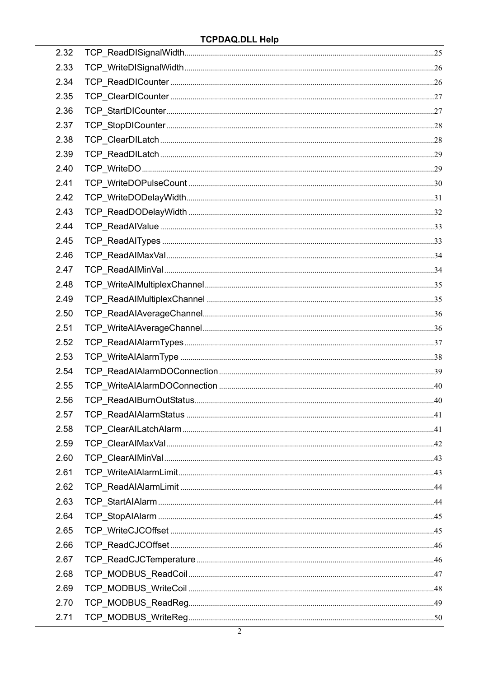| 2.32 |  |
|------|--|
| 2.33 |  |
| 2.34 |  |
| 2.35 |  |
| 2.36 |  |
| 2.37 |  |
| 2.38 |  |
| 2.39 |  |
| 2.40 |  |
| 2.41 |  |
| 2.42 |  |
| 2.43 |  |
| 2.44 |  |
| 2.45 |  |
| 2.46 |  |
| 2.47 |  |
| 2.48 |  |
| 2.49 |  |
| 2.50 |  |
| 2.51 |  |
| 2.52 |  |
| 2.53 |  |
| 2.54 |  |
| 2.55 |  |
| 2.56 |  |
| 2.57 |  |
| 2.58 |  |
| 2.59 |  |
| 2.60 |  |
| 2.61 |  |
| 2.62 |  |
| 2.63 |  |
| 2.64 |  |
| 2.65 |  |
| 2.66 |  |
| 2.67 |  |
| 2.68 |  |
| 2.69 |  |
| 2.70 |  |
| 2.71 |  |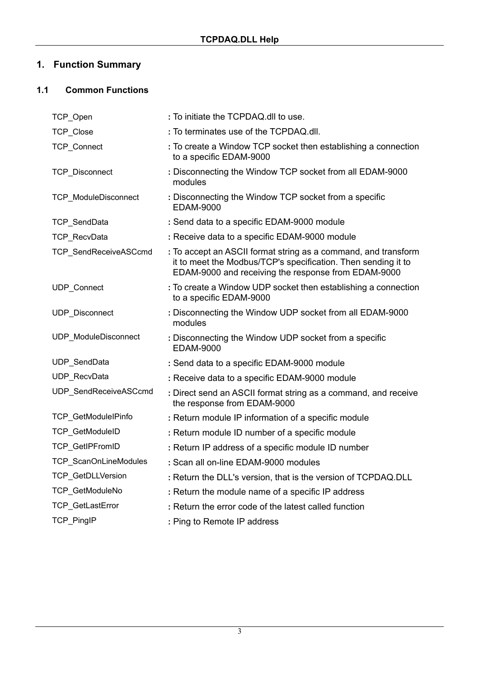# **1. Function Summary**

# **1.1 Common Functions**

| TCP_Open                    | : To initiate the TCPDAQ.dll to use.                                                                                                                                                   |
|-----------------------------|----------------------------------------------------------------------------------------------------------------------------------------------------------------------------------------|
| TCP_Close                   | : To terminates use of the TCPDAQ.dll.                                                                                                                                                 |
| <b>TCP Connect</b>          | : To create a Window TCP socket then establishing a connection<br>to a specific EDAM-9000                                                                                              |
| TCP_Disconnect              | : Disconnecting the Window TCP socket from all EDAM-9000<br>modules                                                                                                                    |
| <b>TCP ModuleDisconnect</b> | : Disconnecting the Window TCP socket from a specific<br><b>EDAM-9000</b>                                                                                                              |
| TCP_SendData                | : Send data to a specific EDAM-9000 module                                                                                                                                             |
| TCP_RecvData                | : Receive data to a specific EDAM-9000 module                                                                                                                                          |
| TCP_SendReceiveASCcmd       | : To accept an ASCII format string as a command, and transform<br>it to meet the Modbus/TCP's specification. Then sending it to<br>EDAM-9000 and receiving the response from EDAM-9000 |
| <b>UDP</b> Connect          | : To create a Window UDP socket then establishing a connection<br>to a specific EDAM-9000                                                                                              |
| UDP_Disconnect              | : Disconnecting the Window UDP socket from all EDAM-9000<br>modules                                                                                                                    |
| UDP_ModuleDisconnect        | : Disconnecting the Window UDP socket from a specific<br><b>EDAM-9000</b>                                                                                                              |
| UDP_SendData                | : Send data to a specific EDAM-9000 module                                                                                                                                             |
| UDP_RecvData                | : Receive data to a specific EDAM-9000 module                                                                                                                                          |
| UDP SendReceiveASCcmd       | : Direct send an ASCII format string as a command, and receive<br>the response from EDAM-9000                                                                                          |
| TCP_GetModuleIPinfo         | : Return module IP information of a specific module                                                                                                                                    |
| TCP_GetModuleID             | : Return module ID number of a specific module                                                                                                                                         |
| <b>TCP GetIPFromID</b>      | : Return IP address of a specific module ID number                                                                                                                                     |
| TCP_ScanOnLineModules       | : Scan all on-line EDAM-9000 modules                                                                                                                                                   |
| <b>TCP GetDLLVersion</b>    | : Return the DLL's version, that is the version of TCPDAQ.DLL                                                                                                                          |
| TCP_GetModuleNo             | : Return the module name of a specific IP address                                                                                                                                      |
| TCP_GetLastError            | : Return the error code of the latest called function                                                                                                                                  |
| <b>TCP PingIP</b>           | : Ping to Remote IP address                                                                                                                                                            |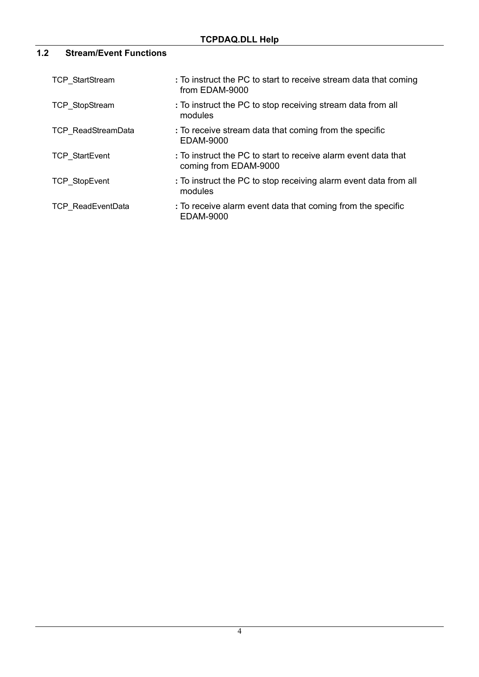# **1.2 Stream/Event Functions**

| <b>TCP StartStream</b>    | : To instruct the PC to start to receive stream data that coming<br>from EDAM-9000      |
|---------------------------|-----------------------------------------------------------------------------------------|
| <b>TCP StopStream</b>     | : To instruct the PC to stop receiving stream data from all<br>modules                  |
| <b>TCP ReadStreamData</b> | : To receive stream data that coming from the specific<br><b>EDAM-9000</b>              |
| <b>TCP StartEvent</b>     | : To instruct the PC to start to receive alarm event data that<br>coming from EDAM-9000 |
| <b>TCP StopEvent</b>      | : To instruct the PC to stop receiving alarm event data from all<br>modules             |
| <b>TCP ReadEventData</b>  | : To receive alarm event data that coming from the specific<br><b>EDAM-9000</b>         |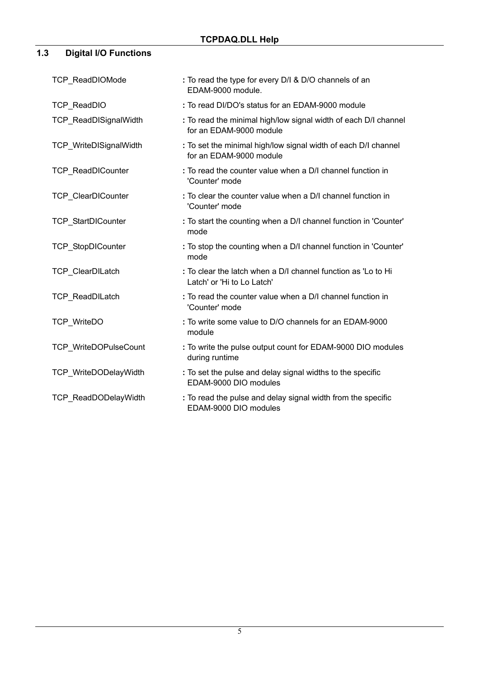# **1.3 Digital I/O Functions**

| <b>TCP ReadDIOMode</b>       | : To read the type for every D/I & D/O channels of an<br>EDAM-9000 module.                  |
|------------------------------|---------------------------------------------------------------------------------------------|
| <b>TCP ReadDIO</b>           | : To read DI/DO's status for an EDAM-9000 module                                            |
| <b>TCP ReadDISignalWidth</b> | : To read the minimal high/low signal width of each D/I channel<br>for an EDAM-9000 module  |
| TCP_WriteDISignalWidth       | : To set the minimal high/low signal width of each D/I channel<br>for an EDAM-9000 module   |
| <b>TCP ReadDICounter</b>     | : To read the counter value when a D/I channel function in<br>'Counter' mode                |
| TCP_ClearDICounter           | : To clear the counter value when a D/I channel function in<br>'Counter' mode               |
| <b>TCP StartDICounter</b>    | : To start the counting when a D/I channel function in 'Counter'<br>mode                    |
| TCP_StopDICounter            | : To stop the counting when a D/I channel function in 'Counter'<br>mode                     |
| TCP_ClearDILatch             | : To clear the latch when a D/I channel function as 'Lo to Hi<br>Latch' or 'Hi to Lo Latch' |
| <b>TCP ReadDILatch</b>       | : To read the counter value when a D/I channel function in<br>'Counter' mode                |
| <b>TCP WriteDO</b>           | : To write some value to D/O channels for an EDAM-9000<br>module                            |
| TCP WriteDOPulseCount        | : To write the pulse output count for EDAM-9000 DIO modules<br>during runtime               |
| TCP WriteDODelayWidth        | : To set the pulse and delay signal widths to the specific<br>EDAM-9000 DIO modules         |
| <b>TCP ReadDODelayWidth</b>  | : To read the pulse and delay signal width from the specific<br>EDAM-9000 DIO modules       |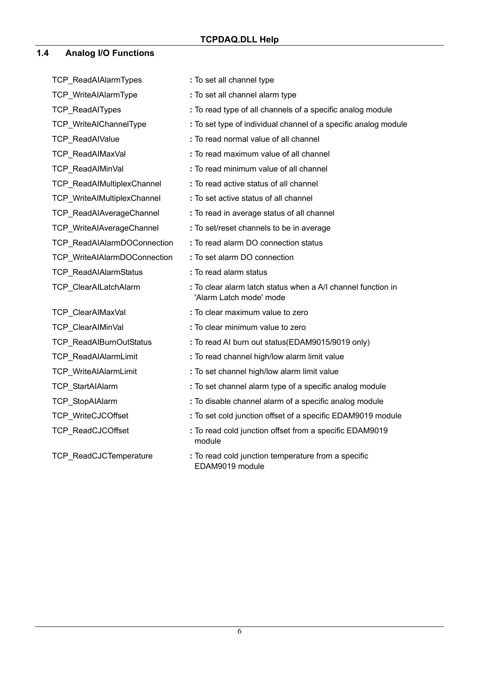### **1.4 Analog I/O Functions**

TCP\_ReadAIAlarmTypes TCP\_WriteAIAlarmType TCP\_ReadAITypes TCP\_WriteAIChannelType TCP\_ReadAIValue TCP\_ReadAIMaxVal TCP\_ReadAIMinVal TCP\_ReadAIMultiplexChannel TCP\_WriteAIMultiplexChannel TCP\_ReadAIAverageChannel TCP\_WriteAIAverageChannel TCP\_ReadAIAlarmDOConnection TCP\_WriteAIAlarmDOConnection TCP\_ReadAIAlarmStatus TCP\_ClearAILatchAlarm TCP\_ClearAIMaxVal TCP\_ClearAIMinVal TCP\_ReadAIBurnOutStatus TCP\_ReadAIAlarmLimit TCP\_WriteAIAlarmLimit TCP\_StartAIAlarm TCP\_StopAIAlarm TCP\_WriteCJCOffset TCP\_ReadCJCOffset TCP\_ReadCJCTemperature **:** To set all channel type **:** To set all channel alarm type **:** To read type of all channels of a specific analog module **:** To set type of individual channel of a specific analog module **:** To read normal value of all channel **:** To read maximum value of all channel **:** To read minimum value of all channel **:** To read active status of all channel **:** To set active status of all channel **:** To read in average status of all channel **:** To set/reset channels to be in average **:** To read alarm DO connection status **:** To set alarm DO connection **:** To read alarm status **:** To clear alarm latch status when a A/I channel function in 'Alarm Latch mode' mode **:** To clear maximum value to zero **:** To clear minimum value to zero **:** To read AI burn out status(EDAM9015/9019 only) **:** To read channel high/low alarm limit value **:** To set channel high/low alarm limit value **:** To set channel alarm type of a specific analog module **:** To disable channel alarm of a specific analog module **:** To set cold junction offset of a specific EDAM9019 module **:** To read cold junction offset from a specific EDAM9019 module **:** To read cold junction temperature from a specific EDAM9019 module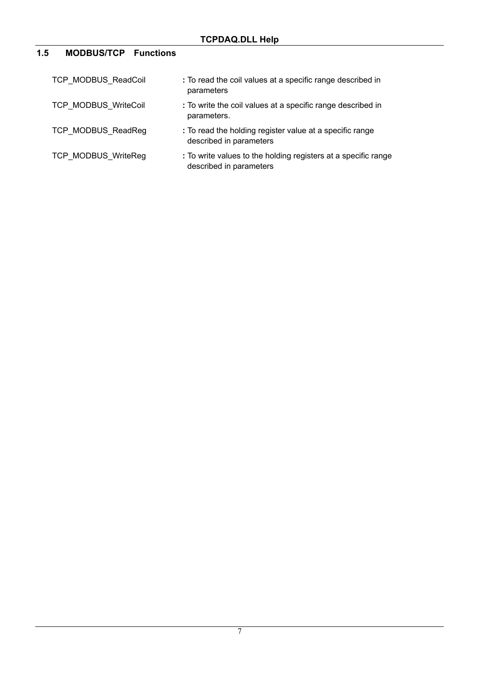# **1.5 MODBUS/TCP Functions**

| TCP MODBUS ReadCoil        | : To read the coil values at a specific range described in<br>parameters                  |
|----------------------------|-------------------------------------------------------------------------------------------|
| TCP MODBUS WriteCoil       | : To write the coil values at a specific range described in<br>parameters.                |
| TCP MODBUS ReadReg         | : To read the holding register value at a specific range<br>described in parameters       |
| <b>TCP MODBUS WriteReg</b> | : To write values to the holding registers at a specific range<br>described in parameters |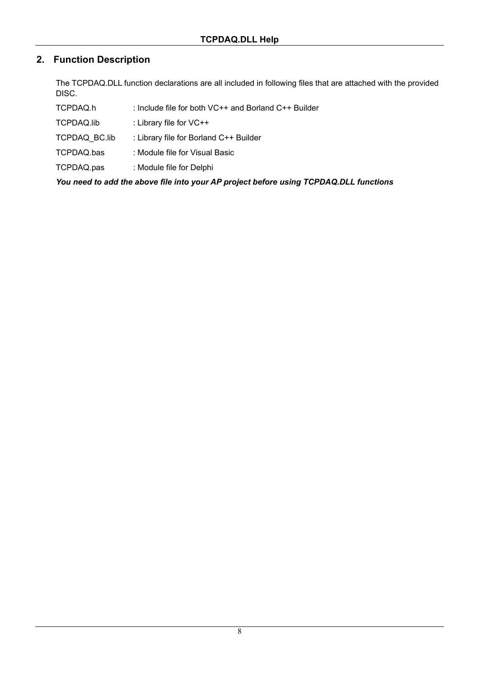# **2. Function Description**

The TCPDAQ.DLL function declarations are all included in following files that are attached with the provided DISC.

| TCPDAQ.h<br>: Include file for both $VC++$ and Borland $C++$ Builder |  |
|----------------------------------------------------------------------|--|
|----------------------------------------------------------------------|--|

- TCPDAQ.lib : Library file for VC++
- TCPDAQ\_BC.lib : Library file for Borland C++ Builder
- TCPDAQ.bas : Module file for Visual Basic
- TCPDAQ.pas : Module file for Delphi

*You need to add the above file into your AP project before using TCPDAQ.DLL functions*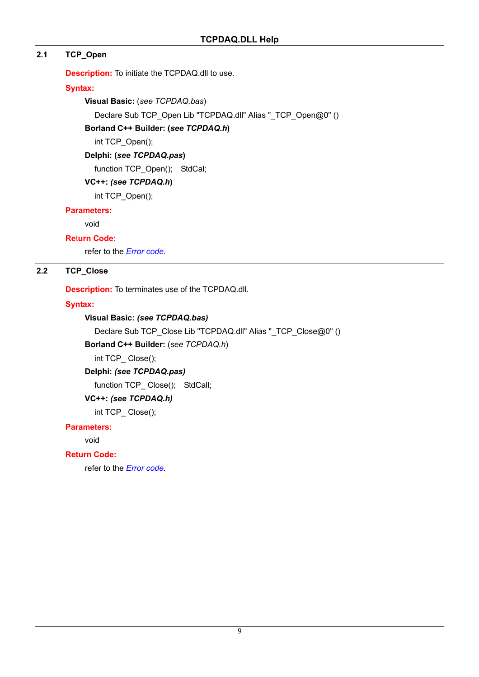### **2.1 TCP\_Open**

**Description:** To initiate the TCPDAQ.dll to use.

### **Syntax:**

**Visual Basic:** (*see TCPDAQ.bas*)

Declare Sub TCP\_Open Lib "TCPDAQ.dll" Alias "\_TCP\_Open@0" ()

### **Borland C++ Builder: (***see TCPDAQ.h***)**

int TCP\_Open();

### **Delphi: (***see TCPDAQ.pas***)**

function TCP\_Open(); StdCal;

### **VC++:** *(see TCPDAQ.h***)**

int TCP\_Open();

### **Parameters:**

void

### **Re**t**urn Code:**

refer to the *Error code.* 

### **2.2 TCP\_Close**

**Description:** To terminates use of the TCPDAQ.dll.

### **Syntax:**

### **Visual Basic:** *(see TCPDAQ.bas)*

Declare Sub TCP\_Close Lib "TCPDAQ.dll" Alias "\_TCP\_Close@0" ()

**Borland C++ Builder:** (*see TCPDAQ.h*)

int TCP\_ Close();

### **Delphi:** *(see TCPDAQ.pas)*

function TCP Close(); StdCall;

### **VC++:** *(see TCPDAQ.h)*

int TCP\_ Close();

### **Parameters:**

void

### **Return Code:**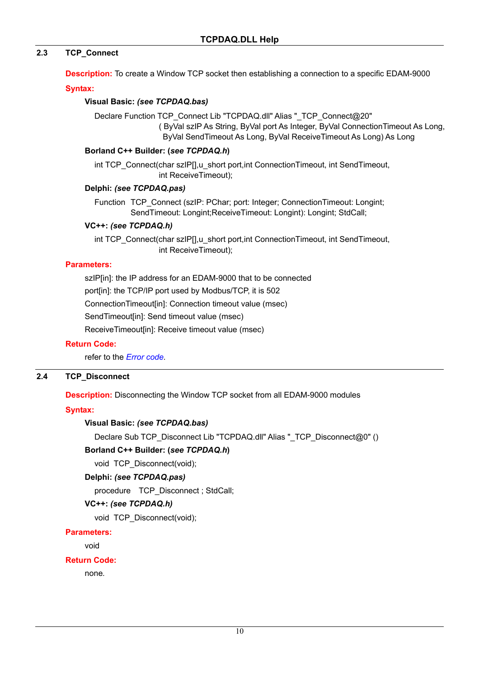### **2.3 TCP\_Connect**

**Description:** To create a Window TCP socket then establishing a connection to a specific EDAM-9000

#### **Syntax:**

#### **Visual Basic:** *(see TCPDAQ.bas)*

Declare Function TCP\_Connect Lib "TCPDAQ.dll" Alias "\_TCP\_Connect@20" ( ByVal szIP As String, ByVal port As Integer, ByVal ConnectionTimeout As Long, ByVal SendTimeout As Long, ByVal ReceiveTimeout As Long) As Long

#### **Borland C++ Builder: (***see TCPDAQ.h***)**

int TCP\_Connect(char szIP[],u\_short port,int ConnectionTimeout, int SendTimeout, int ReceiveTimeout);

#### **Delphi:** *(see TCPDAQ.pas)*

Function TCP\_Connect (szIP: PChar; port: Integer; ConnectionTimeout: Longint; SendTimeout: Longint;ReceiveTimeout: Longint): Longint; StdCall;

#### **VC++:** *(see TCPDAQ.h)*

int TCP\_Connect(char szIP[],u\_short port,int ConnectionTimeout, int SendTimeout, int ReceiveTimeout);

#### **Parameters:**

szIP[in]: the IP address for an EDAM-9000 that to be connected port[in]: the TCP/IP port used by Modbus/TCP, it is 502 ConnectionTimeout[in]: Connection timeout value (msec) SendTimeout[in]: Send timeout value (msec) ReceiveTimeout[in]: Receive timeout value (msec)

#### **Return Code:**

refer to the *Error code.*

#### **2.4 TCP\_Disconnect**

**Description:** Disconnecting the Window TCP socket from all EDAM-9000 modules

### **Syntax:**

### **Visual Basic:** *(see TCPDAQ.bas)*

Declare Sub TCP\_Disconnect Lib "TCPDAQ.dll" Alias "\_TCP\_Disconnect@0" ()

### **Borland C++ Builder: (***see TCPDAQ.h***)**

void TCP Disconnect(void);

### **Delphi:** *(see TCPDAQ.pas)*

procedure TCP Disconnect ; StdCall;

### **VC++:** *(see TCPDAQ.h)*

void TCP\_Disconnect(void);

### **Parameters:**

void

### **Return Code:**

none*.*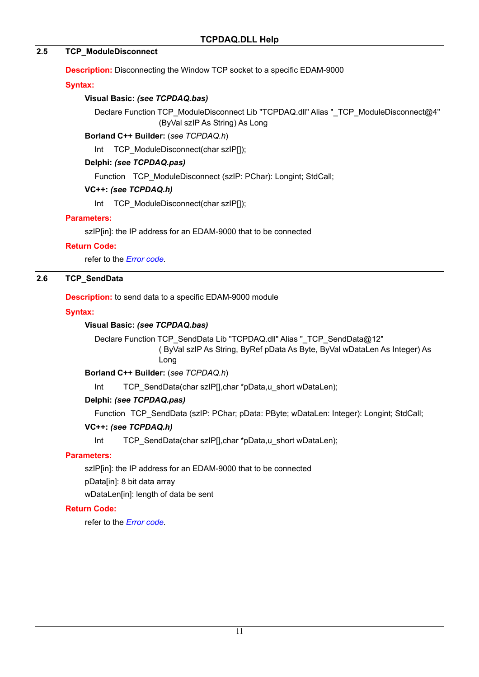### **2.5 TCP\_ModuleDisconnect**

**Description:** Disconnecting the Window TCP socket to a specific EDAM-9000

### **Syntax:**

### **Visual Basic:** *(see TCPDAQ.bas)*

Declare Function TCP\_ModuleDisconnect Lib "TCPDAQ.dll" Alias "\_TCP\_ModuleDisconnect@4" (ByVal szIP As String) As Long

### **Borland C++ Builder:** (*see TCPDAQ.h*)

Int TCP ModuleDisconnect(char szIP[]);

### **Delphi:** *(see TCPDAQ.pas)*

Function TCP\_ModuleDisconnect (szIP: PChar): Longint; StdCall;

### **VC++:** *(see TCPDAQ.h)*

Int TCP\_ModuleDisconnect(char szIP[]);

### **Parameters:**

szIP[in]: the IP address for an EDAM-9000 that to be connected

### **Return Code:**

refer to the *Error code.* 

### **2.6 TCP\_SendData**

**Description:** to send data to a specific EDAM-9000 module

### **Syntax:**

### **Visual Basic:** *(see TCPDAQ.bas)*

Declare Function TCP\_SendData Lib "TCPDAQ.dll" Alias "\_TCP\_SendData@12" ( ByVal szIP As String, ByRef pData As Byte, ByVal wDataLen As Integer) As Long

**Borland C++ Builder:** (*see TCPDAQ.h*)

Int TCP\_SendData(char szIP[],char \*pData,u\_short wDataLen);

### **Delphi:** *(see TCPDAQ.pas)*

Function TCP SendData (szIP: PChar; pData: PByte; wDataLen: Integer): Longint; StdCall;

### **VC++:** *(see TCPDAQ.h)*

Int TCP\_SendData(char szIP[],char \*pData,u\_short wDataLen);

### **Parameters:**

szIP[in]: the IP address for an EDAM-9000 that to be connected pData[in]: 8 bit data array

wDataLen[in]: length of data be sent

### **Return Code:**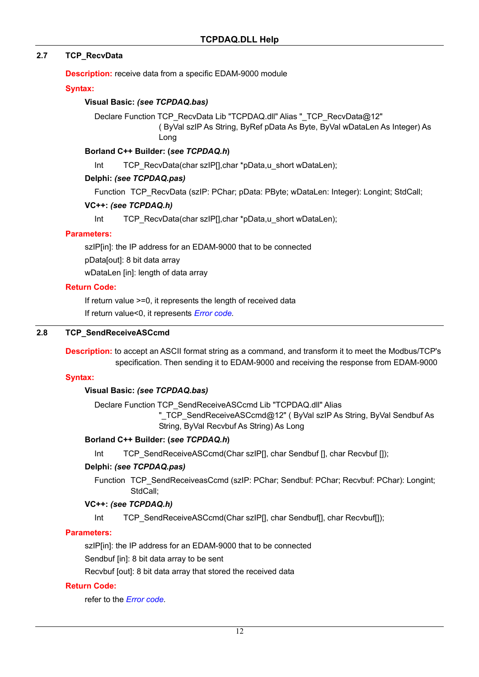### **2.7 TCP\_RecvData**

**Description:** receive data from a specific EDAM-9000 module

#### **Syntax:**

#### **Visual Basic:** *(see TCPDAQ.bas)*

Declare Function TCP\_RecvData Lib "TCPDAQ.dll" Alias " TCP\_RecvData@12" ( ByVal szIP As String, ByRef pData As Byte, ByVal wDataLen As Integer) As Long

#### **Borland C++ Builder: (***see TCPDAQ.h***)**

Int TCP\_RecvData(char szIP[],char \*pData,u\_short wDataLen);

#### **Delphi:** *(see TCPDAQ.pas)*

Function TCP RecvData (szIP: PChar: pData: PByte: wDataLen: Integer): Longint: StdCall:

#### **VC++:** *(see TCPDAQ.h)*

Int TCP\_RecvData(char szIP[],char \*pData,u\_short wDataLen);

#### **Parameters:**

szIP[in]: the IP address for an EDAM-9000 that to be connected pData[out]: 8 bit data array

wDataLen [in]: length of data array

#### **Return Code:**

If return value >=0, it represents the length of received data If return value<0, it represents *Error code.* 

#### **2.8 TCP\_SendReceiveASCcmd**

**Description:** to accept an ASCII format string as a command, and transform it to meet the Modbus/TCP's specification. Then sending it to EDAM-9000 and receiving the response from EDAM-9000

#### **Syntax:**

#### **Visual Basic:** *(see TCPDAQ.bas)*

Declare Function TCP\_SendReceiveASCcmd Lib "TCPDAQ.dll" Alias

"\_TCP\_SendReceiveASCcmd@12" ( ByVal szIP As String, ByVal Sendbuf As String, ByVal Recvbuf As String) As Long

#### **Borland C++ Builder: (***see TCPDAQ.h***)**

Int TCP\_SendReceiveASCcmd(Char szIP[], char Sendbuf [], char Recvbuf [1);

#### **Delphi:** *(see TCPDAQ.pas)*

Function TCP SendReceiveasCcmd (szIP: PChar; Sendbuf: PChar; Recvbuf: PChar): Longint; StdCall;

#### **VC++:** *(see TCPDAQ.h)*

Int TCP\_SendReceiveASCcmd(Char szIP[], char Sendbuf[], char Recvbuf[]);

#### **Parameters:**

szIP[in]: the IP address for an EDAM-9000 that to be connected

Sendbuf [in]: 8 bit data array to be sent

Recvbuf [out]: 8 bit data array that stored the received data

#### **Return Code:**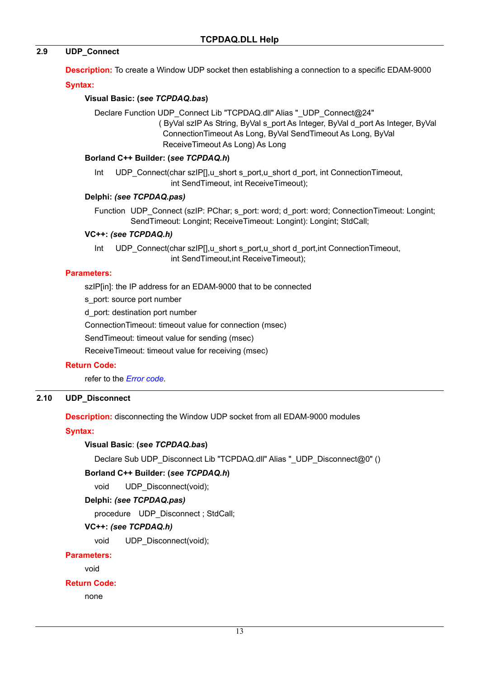### **2.9 UDP\_Connect**

**Description:** To create a Window UDP socket then establishing a connection to a specific EDAM-9000

#### **Syntax:**

#### **Visual Basic: (***see TCPDAQ.bas***)**

Declare Function UDP\_Connect Lib "TCPDAQ.dll" Alias "\_UDP\_Connect@24" ( ByVal szIP As String, ByVal s\_port As Integer, ByVal d\_port As Integer, ByVal ConnectionTimeout As Long, ByVal SendTimeout As Long, ByVal ReceiveTimeout As Long) As Long

#### **Borland C++ Builder: (***see TCPDAQ.h***)**

Int UDP\_Connect(char szIP[],u\_short s\_port,u\_short d\_port, int ConnectionTimeout, int SendTimeout, int ReceiveTimeout);

#### **Delphi:** *(see TCPDAQ.pas)*

Function UDP Connect (szIP: PChar; s\_port: word; d\_port: word; ConnectionTimeout: Longint; SendTimeout: Longint; ReceiveTimeout: Longint): Longint; StdCall;

#### **VC++:** *(see TCPDAQ.h)*

Int UDP\_Connect(char szIP[],u\_short s\_port,u\_short d\_port,int ConnectionTimeout, int SendTimeout,int ReceiveTimeout);

#### **Parameters:**

szIP[in]: the IP address for an EDAM-9000 that to be connected

s port: source port number

d\_port: destination port number

ConnectionTimeout: timeout value for connection (msec)

SendTimeout: timeout value for sending (msec)

ReceiveTimeout: timeout value for receiving (msec)

### **Return Code:**

refer to the *Error code.* 

### **2.10 UDP\_Disconnect**

**Description:** disconnecting the Window UDP socket from all EDAM-9000 modules

### **Syntax:**

#### **Visual Basic**: **(***s***e***e TCPDAQ.bas***)**

Declare Sub UDP\_Disconnect Lib "TCPDAQ.dll" Alias "\_UDP\_Disconnect@0" ()

#### **Borland C++ Builder: (***see TCPDAQ.h***)**

void UDP\_Disconnect(void);

#### **Delphi:** *(see TCPDAQ.pas)*

procedure UDP\_Disconnect ; StdCall;

### **VC++:** *(see TCPDAQ.h)*

void UDP\_Disconnect(void);

#### **Parameters:**

void

### **Return Code:**

none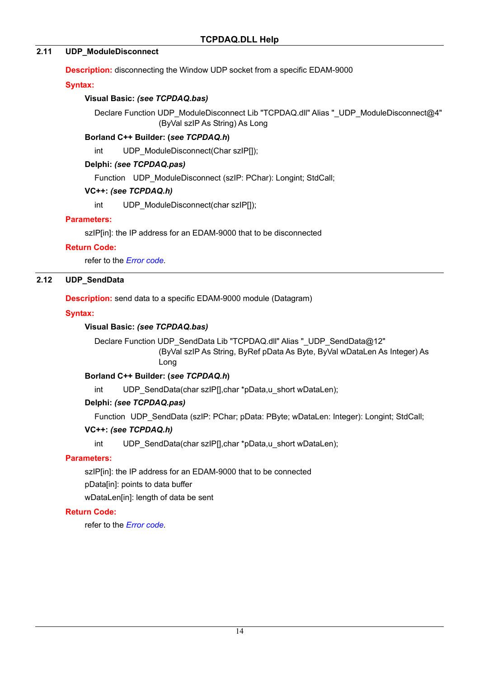### **2.11 UDP\_ModuleDisconnect**

**Description:** disconnecting the Window UDP socket from a specific EDAM-9000

### **Syntax:**

### **Visual Basic:** *(see TCPDAQ.bas)*

Declare Function UDP\_ModuleDisconnect Lib "TCPDAQ.dll" Alias "\_UDP\_ModuleDisconnect@4" (ByVal szIP As String) As Long

### **Borland C++ Builder: (***see TCPDAQ.h***)**

int UDP\_ModuleDisconnect(Char szIP[1]);

### **Delphi:** *(see TCPDAQ.pas)*

Function UDP ModuleDisconnect (szlP: PChar): Longint; StdCall;

### **VC++:** *(see TCPDAQ.h)*

int UDP\_ModuleDisconnect(char szIP[]);

### **Parameters:**

szIP[in]: the IP address for an EDAM-9000 that to be disconnected

### **Return Code:**

refer to the *Error code.* 

### **2.12 UDP\_SendData**

**Description:** send data to a specific EDAM-9000 module (Datagram)

### **Syntax:**

### **Visual Basic:** *(see TCPDAQ.bas)*

Declare Function UDP SendData Lib "TCPDAQ.dll" Alias " UDP SendData@12" (ByVal szIP As String, ByRef pData As Byte, ByVal wDataLen As Integer) As Long

### **Borland C++ Builder: (***see TCPDAQ.h***)**

int UDP SendData(char szIP[],char \*pData,u short wDataLen);

### **Delphi:** *(see TCPDAQ.pas)*

Function UDP\_SendData (szIP: PChar; pData: PByte; wDataLen: Integer): Longint; StdCall;

### **VC++:** *(see TCPDAQ.h)*

int UDP SendData(char szIP[],char \*pData,u short wDataLen);

### **Parameters:**

szIP[in]: the IP address for an EDAM-9000 that to be connected

pData[in]: points to data buffer

wDataLen[in]: length of data be sent

### **Return Code:**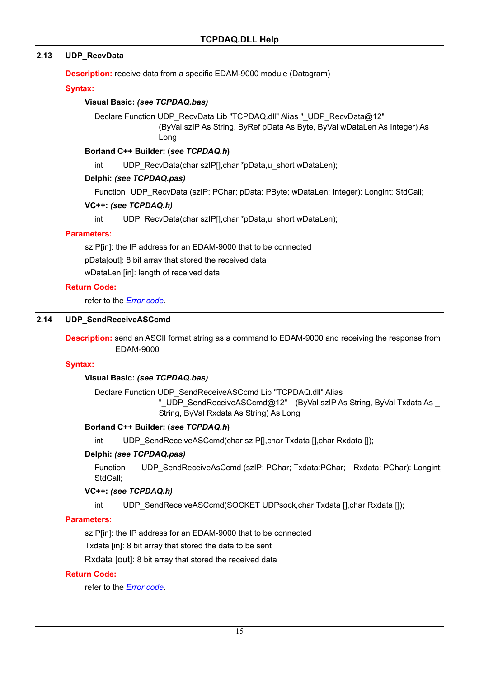### **2.13 UDP\_RecvData**

**Description:** receive data from a specific EDAM-9000 module (Datagram)

#### **Syntax:**

#### **Visual Basic:** *(see TCPDAQ.bas)*

Declare Function UDP\_RecvData Lib "TCPDAQ.dll" Alias "\_UDP\_RecvData@12" (ByVal szIP As String, ByRef pData As Byte, ByVal wDataLen As Integer) As Long

#### **Borland C++ Builder: (***see TCPDAQ.h***)**

int UDP\_RecvData(char szIP[],char \*pData,u\_short wDataLen);

#### **Delphi:** *(see TCPDAQ.pas)*

Function UDP\_RecvData (szIP: PChar; pData: PByte; wDataLen: Integer): Longint; StdCall;

#### **VC++:** *(see TCPDAQ.h)*

int UDP\_RecvData(char szIP[],char \*pData,u\_short wDataLen);

#### **Parameters:**

szIP[in]: the IP address for an EDAM-9000 that to be connected pData[out]: 8 bit array that stored the received data wDataLen [in]: length of received data

#### **Return Code:**

refer to the *Error code.* 

#### **2.14 UDP\_SendReceiveASCcmd**

**Description:** send an ASCII format string as a command to EDAM-9000 and receiving the response from EDAM-9000

#### **Syntax:**

### **Visual Basic:** *(see TCPDAQ.bas)*

Declare Function UDP\_SendReceiveASCcmd Lib "TCPDAQ.dll" Alias

"\_UDP\_SendReceiveASCcmd@12" (ByVal szIP As String, ByVal Txdata As \_ String, ByVal Rxdata As String) As Long

### **Borland C++ Builder: (***see TCPDAQ.h***)**

int UDP\_SendReceiveASCcmd(char szlP[],char Txdata [],char Rxdata []);

#### **Delphi:** *(see TCPDAQ.pas)*

Function UDP SendReceiveAsCcmd (szIP: PChar; Txdata:PChar; Rxdata: PChar): Longint; StdCall;

### **VC++:** *(see TCPDAQ.h)*

int UDP\_SendReceiveASCcmd(SOCKET UDPsock,char Txdata [],char Rxdata []);

#### **Parameters:**

szIP[in]: the IP address for an EDAM-9000 that to be connected

Txdata [in]: 8 bit array that stored the data to be sent

Rxdata [out]: 8 bit array that stored the received data

### **Return Code:**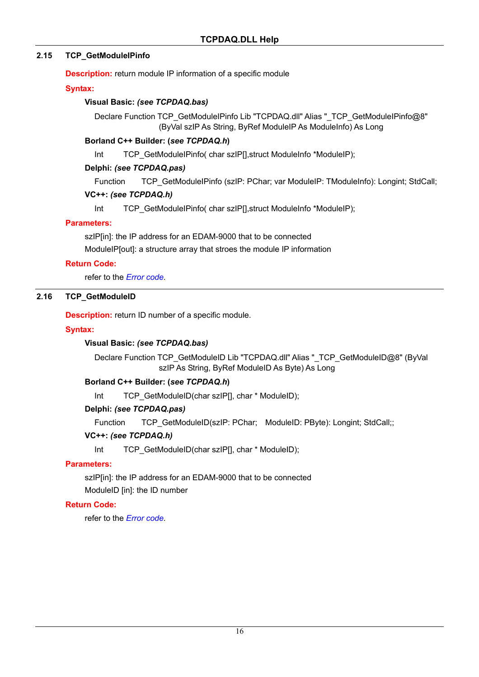### **2.15 TCP\_GetModuleIPinfo**

**Description:** return module IP information of a specific module

#### **Syntax:**

### **Visual Basic:** *(see TCPDAQ.bas)*

Declare Function TCP\_GetModuleIPinfo Lib "TCPDAQ.dll" Alias "\_TCP\_GetModuleIPinfo@8" (ByVal szIP As String, ByRef ModuleIP As ModuleInfo) As Long

### **Borland C++ Builder: (***see TCPDAQ.h***)**

Int TCP GetModuleIPinfo( char szIP[], struct ModuleInfo \*ModuleIP);

#### **Delphi:** *(see TCPDAQ.pas)*

Function TCP GetModuleIPinfo (szIP: PChar; var ModuleIP: TModuleInfo): Longint; StdCall;

#### **VC++:** *(see TCPDAQ.h)*

Int TCP GetModuleIPinfo( char szIP[], struct ModuleInfo \*ModuleIP);

### **Parameters:**

szIP[in]: the IP address for an EDAM-9000 that to be connected

ModuleIP[out]: a structure array that stroes the module IP information

### **Return Code:**

refer to the *Error code.* 

### **2.16 TCP\_GetModuleID**

**Description:** return ID number of a specific module.

#### **Syntax:**

### **Visual Basic:** *(see TCPDAQ.bas)*

Declare Function TCP\_GetModuleID Lib "TCPDAQ.dll" Alias "\_TCP\_GetModuleID@8" (ByVal szIP As String, ByRef ModuleID As Byte) As Long

### **Borland C++ Builder: (***see TCPDAQ.h***)**

Int TCP GetModuleID(char szIP[], char \* ModuleID);

### **Delphi:** *(see TCPDAQ.pas)*

Function TCP\_GetModuleID(szIP: PChar; ModuleID: PByte): Longint; StdCall;;

### **VC++:** *(see TCPDAQ.h)*

Int TCP GetModuleID(char szIP[], char \* ModuleID);

### **Parameters:**

szIP[in]: the IP address for an EDAM-9000 that to be connected ModuleID [in]: the ID number

### **Return Code:**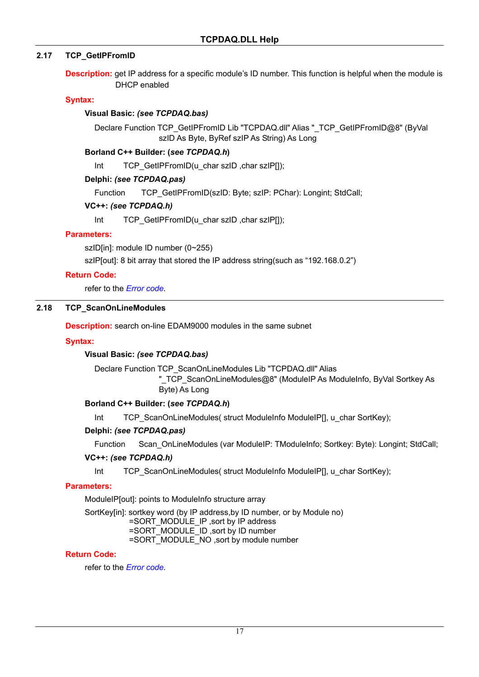### **2.17 TCP\_GetIPFromID**

**Description:** get IP address for a specific module's ID number. This function is helpful when the module is DHCP enabled

#### **Syntax:**

#### **Visual Basic:** *(see TCPDAQ.bas)*

Declare Function TCP\_GetIPFromID Lib "TCPDAQ.dll" Alias "\_TCP\_GetIPFromID@8" (ByVal szID As Byte, ByRef szIP As String) As Long

#### **Borland C++ Builder: (***see TCPDAQ.h***)**

Int TCP GetIPFromID(u char szID ,char szIP[]);

#### **Delphi:** *(see TCPDAQ.pas)*

Function TCP GetIPFromID(szID: Byte; szIP: PChar): Longint; StdCall;

#### **VC++:** *(see TCPDAQ.h)*

Int TCP\_GetIPFromID(u\_char szID ,char szIP[1);

#### **Parameters:**

szID[in]: module ID number (0~255)

szIP[out]: 8 bit array that stored the IP address string(such as "192.168.0.2")

#### **Return Code:**

refer to the *Error code.* 

### **2.18 TCP\_ScanOnLineModules**

**Description:** search on-line EDAM9000 modules in the same subnet

#### **Syntax:**

### **Visual Basic:** *(see TCPDAQ.bas)*

Declare Function TCP\_ScanOnLineModules Lib "TCPDAQ.dll" Alias

"\_TCP\_ScanOnLineModules@8" (ModuleIP As ModuleInfo, ByVal Sortkey As Byte) As Long

#### **Borland C++ Builder: (***see TCPDAQ.h***)**

Int TCP\_ScanOnLineModules( struct ModuleInfo ModuleIP[], u\_char SortKey);

### **Delphi:** *(see TCPDAQ.pas)*

Function Scan OnLineModules (var ModuleIP: TModuleInfo; Sortkey: Byte): Longint; StdCall;

#### **VC++:** *(see TCPDAQ.h)*

Int TCP\_ScanOnLineModules( struct ModuleInfo ModuleIP[1, u\_char SortKey);

#### **Parameters:**

ModuleIP[out]: points to ModuleInfo structure array

SortKey[in]: sortkey word (by IP address, by ID number, or by Module no)

=SORT\_MODULE\_IP ,sort by IP address

=SORT\_MODULE\_ID ,sort by ID number

=SORT\_MODULE\_NO ,sort by module number

#### **Return Code:**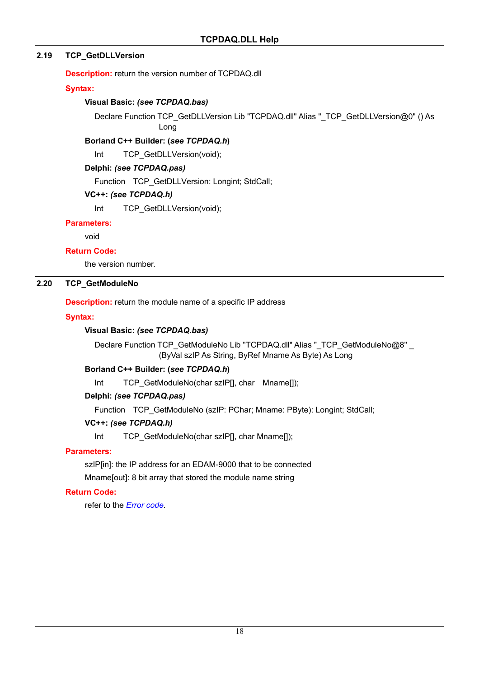### **2.19 TCP\_GetDLLVersion**

**Description:** return the version number of TCPDAQ.dll

### **Syntax:**

### **Visual Basic:** *(see TCPDAQ.bas)*

Declare Function TCP\_GetDLLVersion Lib "TCPDAQ.dll" Alias "\_TCP\_GetDLLVersion@0" () As Long

### **Borland C++ Builder: (***see TCPDAQ.h***)**

Int TCP GetDLLVersion(void);

### **Delphi:** *(see TCPDAQ.pas)*

Function TCP GetDLLVersion: Longint; StdCall;

### **VC++:** *(see TCPDAQ.h)*

Int TCP\_GetDLLVersion(void);

### **Parameters:**

void

### **Return Code:**

the version number.

### **2.20 TCP\_GetModuleNo**

**Description:** return the module name of a specific IP address

### **Syntax:**

### **Visual Basic:** *(see TCPDAQ.bas)*

Declare Function TCP\_GetModuleNo Lib "TCPDAQ.dll" Alias "\_TCP\_GetModuleNo@8" \_ (ByVal szIP As String, ByRef Mname As Byte) As Long

### **Borland C++ Builder: (***see TCPDAQ.h***)**

Int TCP GetModuleNo(char szIP[], char Mname[]);

### **Delphi:** *(see TCPDAQ.pas)*

Function TCP\_GetModuleNo (szIP: PChar; Mname: PByte): Longint; StdCall;

### **VC++:** *(see TCPDAQ.h)*

Int TCP GetModuleNo(char szIP[], char Mname[]);

### **Parameters:**

szIP[in]: the IP address for an EDAM-9000 that to be connected Mname[out]: 8 bit array that stored the module name string

### **Return Code:**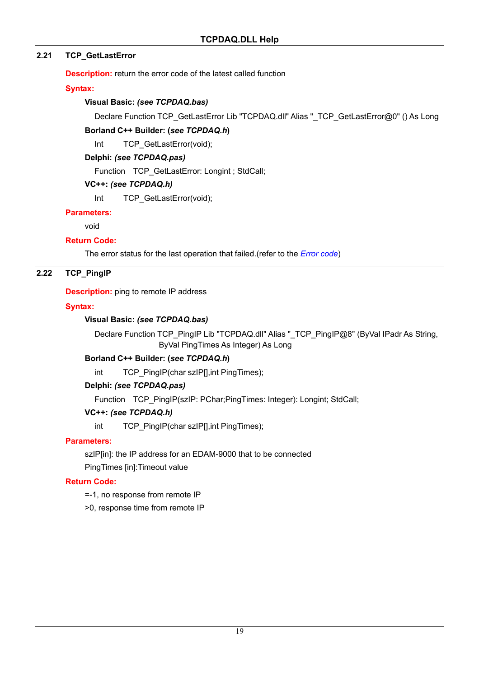### **2.21 TCP\_GetLastError**

**Description:** return the error code of the latest called function

### **Syntax:**

### **Visual Basic:** *(see TCPDAQ.bas)*

Declare Function TCP\_GetLastError Lib "TCPDAQ.dll" Alias "\_TCP\_GetLastError@0" () As Long

### **Borland C++ Builder: (***see TCPDAQ.h***)**

Int TCP GetLastError(void);

### **Delphi:** *(see TCPDAQ.pas)*

Function TCP\_GetLastError: Longint ; StdCall;

### **VC++:** *(see TCPDAQ.h)*

Int TCP GetLastError(void);

### **Parameters:**

void

### **Return Code:**

The error status for the last operation that failed.(refer to the *Error code*)

### **2.22 TCP\_PingIP**

### **Description:** ping to remote IP address

### **Syntax:**

### **Visual Basic:** *(see TCPDAQ.bas)*

Declare Function TCP\_PingIP Lib "TCPDAQ.dll" Alias "\_TCP\_PingIP@8" (ByVal IPadr As String, ByVal PingTimes As Integer) As Long

### **Borland C++ Builder: (***see TCPDAQ.h***)**

int TCP\_PingIP(char szIP[],int PingTimes);

### **Delphi:** *(see TCPDAQ.pas)*

Function TCP PingIP(szIP: PChar;PingTimes: Integer): Longint; StdCall;

### **VC++:** *(see TCPDAQ.h)*

int TCP\_PingIP(char szIP[],int PingTimes);

### **Parameters:**

szIP[in]: the IP address for an EDAM-9000 that to be connected

PingTimes [in]:Timeout value

### **Return Code:**

- =-1, no response from remote IP
- >0, response time from remote IP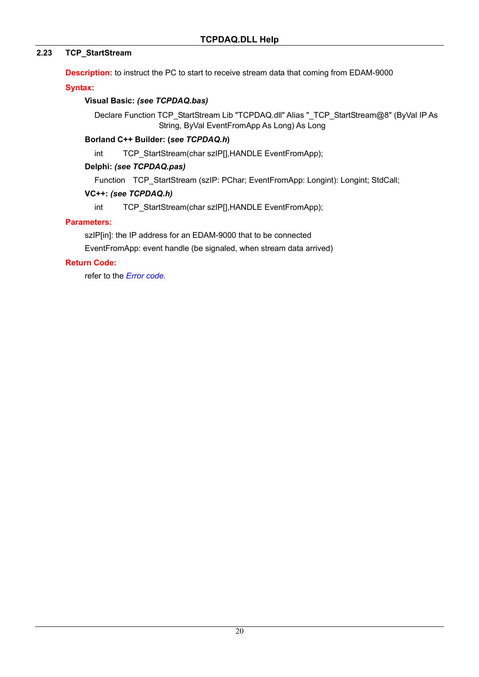### **2.23 TCP\_StartStream**

**Description:** to instruct the PC to start to receive stream data that coming from EDAM-9000

**Syntax:** 

### **Visual Basic:** *(see TCPDAQ.bas)*

Declare Function TCP\_StartStream Lib "TCPDAQ.dll" Alias "\_TCP\_StartStream@8" (ByVal IP As String, ByVal EventFromApp As Long) As Long

### **Borland C++ Builder: (***see TCPDAQ.h***)**

int TCP\_StartStream(char szIP[],HANDLE EventFromApp);

### **Delphi:** *(see TCPDAQ.pas)*

Function TCP StartStream (szIP: PChar; EventFromApp: Longint): Longint; StdCall;

### **VC++:** *(see TCPDAQ.h)*

int TCP\_StartStream(char szIP[],HANDLE EventFromApp);

### **Parameters:**

szIP[in]: the IP address for an EDAM-9000 that to be connected EventFromApp: event handle (be signaled, when stream data arrived)

### **Return Code:**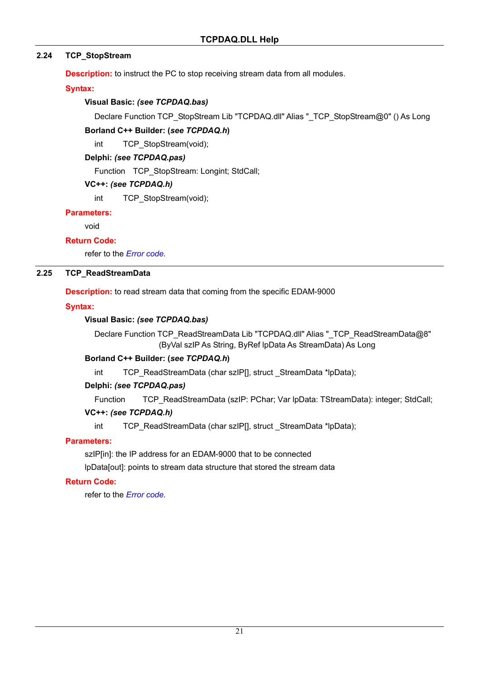### **2.24 TCP\_StopStream**

**Description:** to instruct the PC to stop receiving stream data from all modules.

#### **Syntax:**

### **Visual Basic:** *(see TCPDAQ.bas)*

Declare Function TCP\_StopStream Lib "TCPDAQ.dll" Alias "\_TCP\_StopStream@0" () As Long

### **Borland C++ Builder: (***see TCPDAQ.h***)**

int TCP StopStream(void);

### **Delphi:** *(see TCPDAQ.pas)*

Function TCP\_StopStream: Longint; StdCall;

### **VC++:** *(see TCPDAQ.h)*

int TCP StopStream(void);

### **Parameters:**

void

### **Return Code:**

refer to the *Error code.* 

### **2.25 TCP\_ReadStreamData**

**Description:** to read stream data that coming from the specific EDAM-9000

### **Syntax:**

### **Visual Basic:** *(see TCPDAQ.bas)*

Declare Function TCP\_ReadStreamData Lib "TCPDAQ.dll" Alias "\_TCP\_ReadStreamData@8" (ByVal szIP As String, ByRef lpData As StreamData) As Long

### **Borland C++ Builder: (***see TCPDAQ.h***)**

int TCP\_ReadStreamData (char szIP[], struct \_StreamData \*lpData);

### **Delphi:** *(see TCPDAQ.pas)*

Function TCP\_ReadStreamData (szIP: PChar; Var lpData: TStreamData): integer; StdCall;

### **VC++:** *(see TCPDAQ.h)*

int TCP\_ReadStreamData (char szIP[], struct \_StreamData \*lpData);

### **Parameters:**

szIP[in]: the IP address for an EDAM-9000 that to be connected

lpData[out]: points to stream data structure that stored the stream data

### **Return Code:**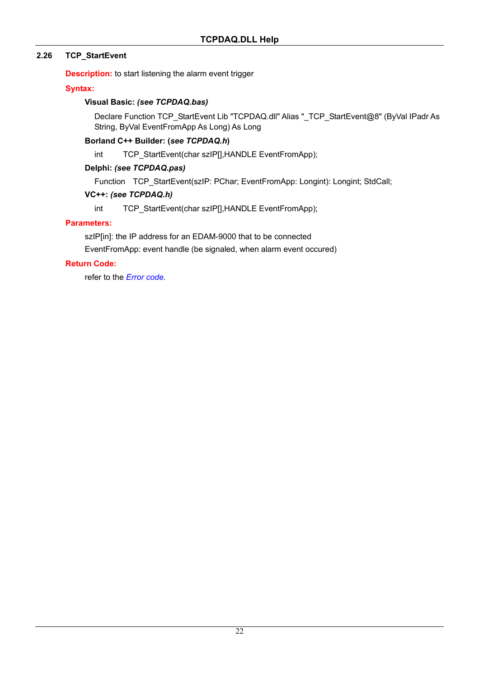### **2.26 TCP\_StartEvent**

**Description:** to start listening the alarm event trigger

### **Syntax:**

### **Visual Basic:** *(see TCPDAQ.bas)*

Declare Function TCP\_StartEvent Lib "TCPDAQ.dll" Alias "\_TCP\_StartEvent@8" (ByVal IPadr As String, ByVal EventFromApp As Long) As Long

### **Borland C++ Builder: (***see TCPDAQ.h***)**

int TCP\_StartEvent(char szIP[],HANDLE EventFromApp);

### **Delphi:** *(see TCPDAQ.pas)*

Function TCP StartEvent(szIP: PChar; EventFromApp: Longint): Longint; StdCall;

### **VC++:** *(see TCPDAQ.h)*

int TCP\_StartEvent(char szIP[],HANDLE EventFromApp);

### **Parameters:**

szIP[in]: the IP address for an EDAM-9000 that to be connected EventFromApp: event handle (be signaled, when alarm event occured)

### **Return Code:**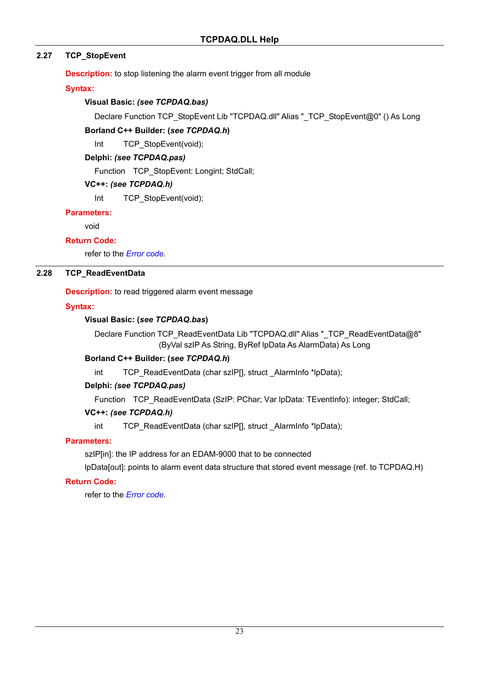### **2.27 TCP\_StopEvent**

**Description:** to stop listening the alarm event trigger from all module

**Syntax:** 

### **Visual Basic:** *(see TCPDAQ.bas)*

Declare Function TCP\_StopEvent Lib "TCPDAQ.dll" Alias "\_TCP\_StopEvent@0" () As Long

### **Borland C++ Builder: (***see TCPDAQ.h***)**

Int TCP StopEvent(void);

### **Delphi:** *(see TCPDAQ.pas)*

Function TCP\_StopEvent: Longint; StdCall;

### **VC++:** *(see TCPDAQ.h)*

Int TCP StopEvent(void);

### **Parameters:**

void

### **Return Code:**

refer to the *Error code.* 

### **2.28 TCP\_ReadEventData**

### **Description:** to read triggered alarm event message

### **Syntax:**

### **Visual Basic: (***see TCPDAQ.bas***)**

Declare Function TCP\_ReadEventData Lib "TCPDAQ.dll" Alias "\_TCP\_ReadEventData@8" (ByVal szIP As String, ByRef lpData As AlarmData) As Long

### **Borland C++ Builder: (***see TCPDAQ.h***)**

int TCP\_ReadEventData (char szIP[], struct AlarmInfo \*lpData);

### **Delphi:** *(see TCPDAQ.pas)*

Function TCP\_ReadEventData (SzIP: PChar; Var IpData: TEventInfo): integer; StdCall;

### **VC++:** *(see TCPDAQ.h)*

int TCP\_ReadEventData (char szlP[], struct\_AlarmInfo \*lpData);

### **Parameters:**

szIP[in]: the IP address for an EDAM-9000 that to be connected

lpData[out]: points to alarm event data structure that stored event message (ref. to TCPDAQ.H)

### **Return Code:**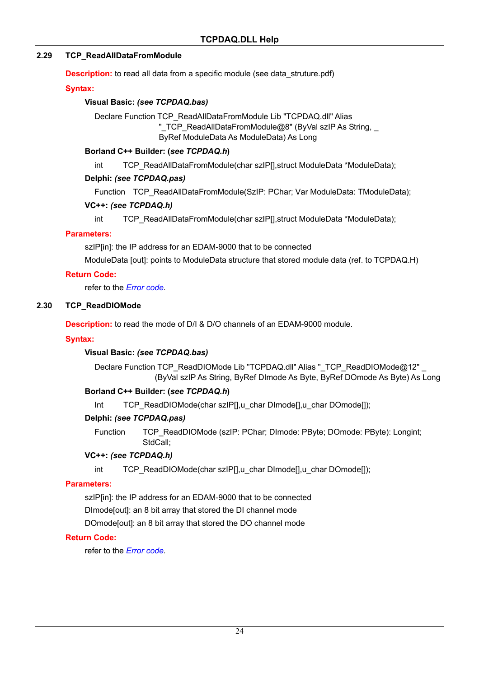### **2.29 TCP\_ReadAllDataFromModule**

**Description:** to read all data from a specific module (see data struture.pdf)

#### **Syntax:**

#### **Visual Basic:** *(see TCPDAQ.bas)*

Declare Function TCP\_ReadAllDataFromModule Lib "TCPDAQ.dll" Alias " TCP ReadAllDataFromModule@8" (ByVal szIP As String, ByRef ModuleData As ModuleData) As Long

#### **Borland C++ Builder: (***see TCPDAQ.h***)**

int TCP\_ReadAllDataFromModule(char szIP[], struct ModuleData \*ModuleData);

#### **Delphi:** *(see TCPDAQ.pas)*

Function TCP\_ReadAllDataFromModule(SzIP: PChar; Var ModuleData: TModuleData);

#### **VC++:** *(see TCPDAQ.h)*

int TCP\_ReadAllDataFromModule(char szIP[], struct ModuleData \*ModuleData);

#### **Parameters:**

szIP[in]: the IP address for an EDAM-9000 that to be connected

ModuleData [out]: points to ModuleData structure that stored module data (ref. to TCPDAQ.H)

#### **Return Code:**

refer to the *Error code.* 

#### **2.30 TCP\_ReadDIOMode**

**Description:** to read the mode of D/I & D/O channels of an EDAM-9000 module.

#### **Syntax:**

### **Visual Basic:** *(see TCPDAQ.bas)*

Declare Function TCP\_ReadDIOMode Lib "TCPDAQ.dll" Alias "\_TCP\_ReadDIOMode@12" (ByVal szIP As String, ByRef DImode As Byte, ByRef DOmode As Byte) As Long

### **Borland C++ Builder: (***see TCPDAQ.h***)**

Int TCP\_ReadDIOMode(char szIP[],u\_char DImode[],u\_char DOmode[]);

### **Delphi:** *(see TCPDAQ.pas)*

Function TCP\_ReadDIOMode (szIP: PChar; DImode: PByte; DOmode: PByte): Longint; StdCall;

#### **VC++:** *(see TCPDAQ.h)*

int TCP\_ReadDIOMode(char szIP[],u\_char DImode[],u\_char DOmode[]);

#### **Parameters:**

szIP[in]: the IP address for an EDAM-9000 that to be connected DImode[out]: an 8 bit array that stored the DI channel mode

DOmode[out]: an 8 bit array that stored the DO channel mode

### **Return Code:**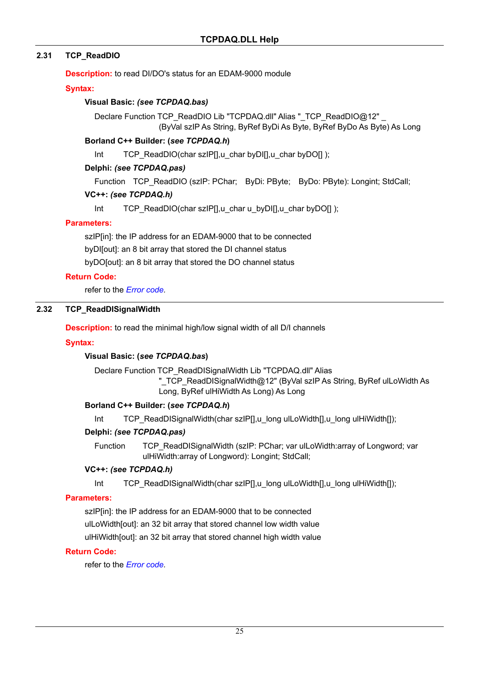### **2.31 TCP\_ReadDIO**

**Description:** to read DI/DO's status for an EDAM-9000 module

#### **Syntax:**

#### **Visual Basic:** *(see TCPDAQ.bas)*

Declare Function TCP\_ReadDIO Lib "TCPDAQ.dll" Alias "\_TCP\_ReadDIO@12" (ByVal szIP As String, ByRef ByDi As Byte, ByRef ByDo As Byte) As Long

#### **Borland C++ Builder: (***see TCPDAQ.h***)**

Int TCP\_ReadDIO(char szIP[],u\_char byDI[],u\_char byDO[] );

#### **Delphi:** *(see TCPDAQ.pas)*

Function TCP\_ReadDIO (szIP: PChar; ByDi: PByte; ByDo: PByte): Longint; StdCall;

#### **VC++:** *(see TCPDAQ.h)*

Int TCP\_ReadDIO(char szIP[],u\_char u\_byDI[],u\_char byDO[] );

#### **Parameters:**

szIP[in]: the IP address for an EDAM-9000 that to be connected

byDI[out]: an 8 bit array that stored the DI channel status

byDO[out]: an 8 bit array that stored the DO channel status

#### **Return Code:**

refer to the *Error code.* 

#### **2.32 TCP\_ReadDISignalWidth**

**Description:** to read the minimal high/low signal width of all D/I channels

#### **Syntax:**

### **Visual Basic: (***see TCPDAQ.bas***)**

Declare Function TCP\_ReadDISignalWidth Lib "TCPDAQ.dll" Alias

"\_TCP\_ReadDISignalWidth@12" (ByVal szIP As String, ByRef ulLoWidth As Long, ByRef ulHiWidth As Long) As Long

### **Borland C++ Builder: (***see TCPDAQ.h***)**

Int TCP\_ReadDISignalWidth(char szIP[],u\_long ulLoWidth[],u\_long ulHiWidth[]);

### **Delphi:** *(see TCPDAQ.pas)*

Function TCP\_ReadDISignalWidth (szIP: PChar; var ulLoWidth:array of Longword; var ulHiWidth:array of Longword): Longint; StdCall;

#### **VC++:** *(see TCPDAQ.h)*

Int TCP\_ReadDISignalWidth(char szIP[1,u\_long ulLoWidth[1,u\_long ulHiWidth[1);

### **Parameters:**

szIP[in]: the IP address for an EDAM-9000 that to be connected ulLoWidth[out]: an 32 bit array that stored channel low width value

ulHiWidth[out]: an 32 bit array that stored channel high width value

#### **Return Code:**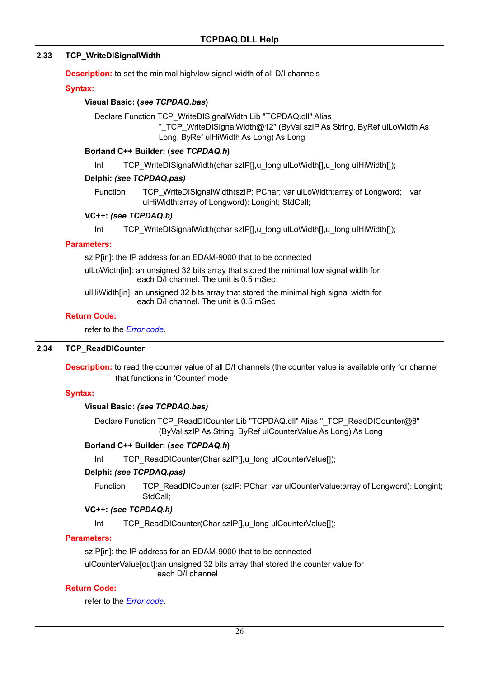### **2.33 TCP\_WriteDISignalWidth**

**Description:** to set the minimal high/low signal width of all D/I channels

#### **Syntax:**

#### **Visual Basic: (***see TCPDAQ.bas***)**

Declare Function TCP\_WriteDISignalWidth Lib "TCPDAQ.dll" Alias "\_TCP\_WriteDISignalWidth@12" (ByVal szIP As String, ByRef ulLoWidth As Long, ByRef ulHiWidth As Long) As Long

#### **Borland C++ Builder: (***see TCPDAQ.h***)**

Int TCP\_WriteDISignalWidth(char szIP[],u\_long ulLoWidth[],u\_long ulHiWidth[]);

#### **Delphi:** *(see TCPDAQ.pas)*

Function TCP\_WriteDISignalWidth(szIP: PChar; var ulLoWidth:array of Longword; var ulHiWidth:array of Longword): Longint; StdCall;

#### **VC++:** *(see TCPDAQ.h)*

Int TCP\_WriteDISignalWidth(char szIP[],u\_long ulLoWidth[],u\_long ulHiWidth[]);

#### **Parameters:**

szIP[in]: the IP address for an EDAM-9000 that to be connected

ulLoWidth[in]: an unsigned 32 bits array that stored the minimal low signal width for each D/I channel. The unit is 0.5 mSec

ulHiWidth[in]: an unsigned 32 bits array that stored the minimal high signal width for each D/I channel. The unit is 0.5 mSec

#### **Return Code:**

refer to the *Error code.* 

#### **2.34 TCP\_ReadDICounter**

**Description:** to read the counter value of all D/I channels (the counter value is available only for channel that functions in 'Counter' mode

### **Syntax:**

#### **Visual Basic:** *(see TCPDAQ.bas)*

Declare Function TCP\_ReadDICounter Lib "TCPDAQ.dll" Alias "\_TCP\_ReadDICounter@8" (ByVal szIP As String, ByRef ulCounterValue As Long) As Long

### **Borland C++ Builder: (***see TCPDAQ.h***)**

Int TCP\_ReadDICounter(Char szIP[],u\_long ulCounterValue[]);

#### **Delphi:** *(see TCPDAQ.pas)*

Function TCP\_ReadDICounter (szIP: PChar; var ulCounterValue:array of Longword): Longint; StdCall;

#### **VC++:** *(see TCPDAQ.h)*

Int TCP\_ReadDICounter(Char szIP[],u\_long ulCounterValue[]);

#### **Parameters:**

szIP[in]: the IP address for an EDAM-9000 that to be connected

ulCounterValue[out]:an unsigned 32 bits array that stored the counter value for each D/I channel

#### **Return Code:**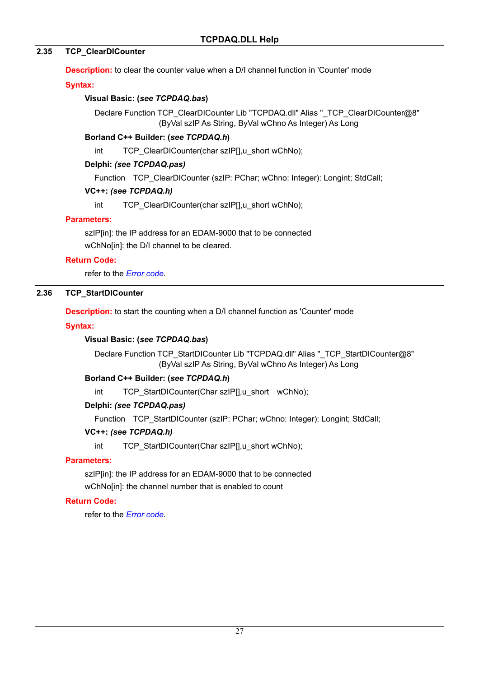### **2.35 TCP\_ClearDICounter**

**Description:** to clear the counter value when a D/I channel function in 'Counter' mode

### **Syntax:**

### **Visual Basic: (***see TCPDAQ.bas***)**

Declare Function TCP\_ClearDICounter Lib "TCPDAQ.dll" Alias "\_TCP\_ClearDICounter@8" (ByVal szIP As String, ByVal wChno As Integer) As Long

### **Borland C++ Builder: (***see TCPDAQ.h***)**

int TCP ClearDICounter(char szIPII.u\_short wChNo);

### **Delphi:** *(see TCPDAQ.pas)*

Function TCP ClearDICounter (szIP: PChar; wChno: Integer): Longint; StdCall;

### **VC++:** *(see TCPDAQ.h)*

int TCP\_ClearDICounter(char szIP[],u\_short wChNo);

### **Parameters:**

szIP[in]: the IP address for an EDAM-9000 that to be connected wChNo[in]: the D/I channel to be cleared.

### **Return Code:**

refer to the *Error code.* 

### **2.36 TCP\_StartDICounter**

**Description:** to start the counting when a D/I channel function as 'Counter' mode

### **Syntax:**

### **Visual Basic: (***see TCPDAQ.bas***)**

Declare Function TCP\_StartDICounter Lib "TCPDAQ.dll" Alias "\_TCP\_StartDICounter@8" (ByVal szIP As String, ByVal wChno As Integer) As Long

### **Borland C++ Builder: (***see TCPDAQ.h***)**

int TCP\_StartDICounter(Char szIP[],u\_short wChNo);

### **Delphi:** *(see TCPDAQ.pas)*

Function TCP StartDICounter (szIP: PChar; wChno: Integer): Longint; StdCall;

### **VC++:** *(see TCPDAQ.h)*

int TCP\_StartDICounter(Char szIPI1.u\_short wChNo);

### **Parameters:**

szIP[in]: the IP address for an EDAM-9000 that to be connected wChNo[in]: the channel number that is enabled to count

### **Return Code:**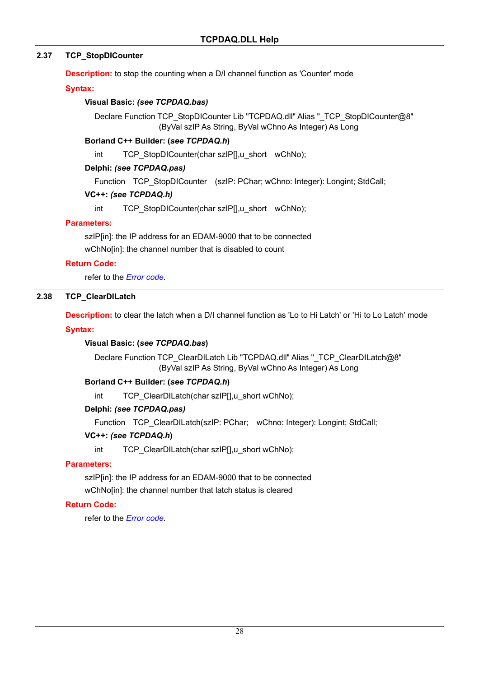### **2.37 TCP\_StopDICounter**

**Description:** to stop the counting when a D/I channel function as 'Counter' mode

**Syntax:** 

#### **Visual Basic:** *(see TCPDAQ.bas)*

Declare Function TCP\_StopDICounter Lib "TCPDAQ.dll" Alias "\_TCP\_StopDICounter@8" (ByVal szIP As String, ByVal wChno As Integer) As Long

#### **Borland C++ Builder: (***see TCPDAQ.h***)**

int TCP\_StopDICounter(char szIP[],u\_short wChNo);

#### **Delphi:** *(see TCPDAQ.pas)*

Function TCP StopDICounter (szIP: PChar; wChno: Integer): Longint; StdCall;

#### **VC++:** *(see TCPDAQ.h)*

int TCP\_StopDICounter(char szIP[],u\_short wChNo);

#### **Parameters:**

szIP[in]: the IP address for an EDAM-9000 that to be connected wChNo[in]: the channel number that is disabled to count

#### **Return Code:**

refer to the *Error code.* 

### **2.38 TCP\_ClearDILatch**

**Description:** to clear the latch when a D/I channel function as 'Lo to Hi Latch' or 'Hi to Lo Latch' mode

#### **Syntax:**

### **Visual Basic: (***see TCPDAQ.bas***)**

Declare Function TCP\_ClearDILatch Lib "TCPDAQ.dll" Alias "\_TCP\_ClearDILatch@8" (ByVal szIP As String, ByVal wChno As Integer) As Long

### **Borland C++ Builder: (***see TCPDAQ.h***)**

int TCP\_ClearDILatch(char szIP[],u\_short wChNo);

### **Delphi:** *(see TCPDAQ.pas)*

Function TCP\_ClearDILatch(szIP: PChar; wChno: Integer): Longint; StdCall;

#### **VC++:** *(see TCPDAQ.h***)**

int TCP ClearDILatch(char szIP[],u\_short wChNo);

### **Parameters:**

szIP[in]: the IP address for an EDAM-9000 that to be connected wChNo[in]: the channel number that latch status is cleared

### **Return Code:**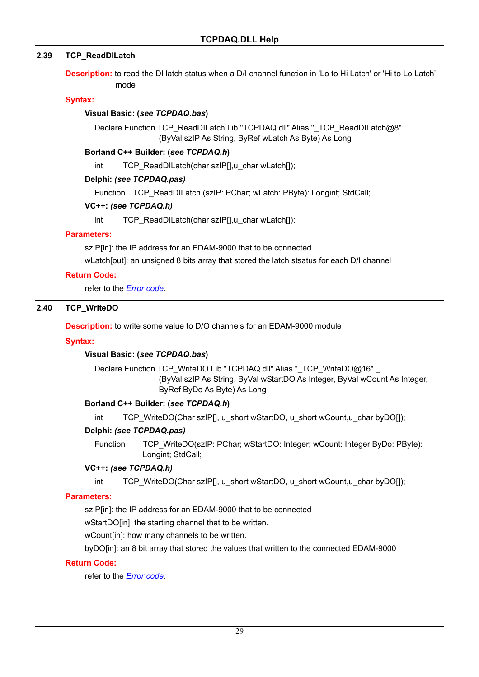### **2.39 TCP\_ReadDILatch**

**Description:** to read the DI latch status when a D/I channel function in 'Lo to Hi Latch' or 'Hi to Lo Latch' mode

#### **Syntax:**

#### **Visual Basic: (***see TCPDAQ.bas***)**

Declare Function TCP\_ReadDILatch Lib "TCPDAQ.dll" Alias "\_TCP\_ReadDILatch@8" (ByVal szIP As String, ByRef wLatch As Byte) As Long

#### **Borland C++ Builder: (***see TCPDAQ.h***)**

int TCP\_ReadDILatch(char szIP[],u\_char wLatch[]);

#### **Delphi:** *(see TCPDAQ.pas)*

Function TCP\_ReadDILatch (szIP: PChar; wLatch: PByte): Longint; StdCall;

#### **VC++:** *(see TCPDAQ.h)*

int TCP\_ReadDILatch(char szIP[],u\_char wLatch[]);

#### **Parameters:**

szIP[in]: the IP address for an EDAM-9000 that to be connected

wLatch[out]: an unsigned 8 bits array that stored the latch stsatus for each D/I channel

#### **Return Code:**

refer to the *Error code.* 

## **2.40 TCP\_WriteDO**

**Description:** to write some value to D/O channels for an EDAM-9000 module

#### **Syntax:**

### **Visual Basic: (***see TCPDAQ.bas***)**

Declare Function TCP\_WriteDO Lib "TCPDAQ.dll" Alias "\_TCP\_WriteDO@16" \_ (ByVal szIP As String, ByVal wStartDO As Integer, ByVal wCount As Integer, ByRef ByDo As Byte) As Long

### **Borland C++ Builder: (***see TCPDAQ.h***)**

int TCP\_WriteDO(Char szIP[], u\_short wStartDO, u\_short wCount,u\_char byDO[]);

### **Delphi:** *(see TCPDAQ.pas)*

Function TCP\_WriteDO(szIP: PChar; wStartDO: Integer; wCount: Integer;ByDo: PByte): Longint; StdCall;

#### **VC++:** *(see TCPDAQ.h)*

int TCP\_WriteDO(Char szIP[], u\_short wStartDO, u\_short wCount,u\_char byDO[]);

### **Parameters:**

szIP[in]: the IP address for an EDAM-9000 that to be connected

wStartDO[in]: the starting channel that to be written.

wCount[in]: how many channels to be written.

byDO[in]: an 8 bit array that stored the values that written to the connected EDAM-9000

#### **Return Code:**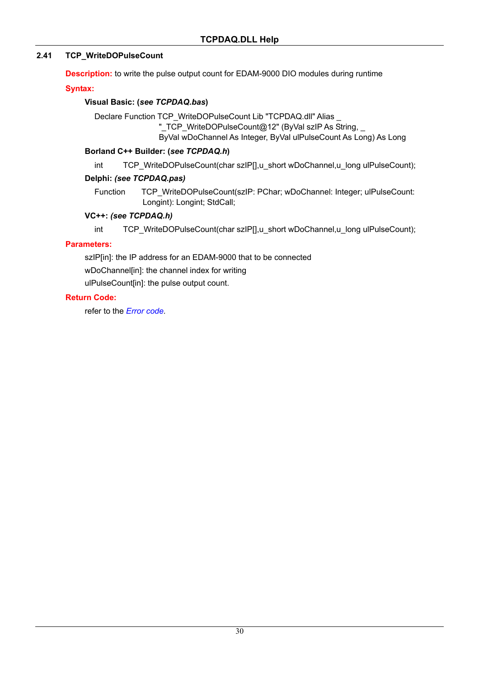### **2.41 TCP\_WriteDOPulseCount**

**Description:** to write the pulse output count for EDAM-9000 DIO modules during runtime

**Syntax:** 

### **Visual Basic: (***see TCPDAQ.bas***)**

Declare Function TCP\_WriteDOPulseCount Lib "TCPDAQ.dll" Alias

"\_TCP\_WriteDOPulseCount@12" (ByVal szIP As String, \_

ByVal wDoChannel As Integer, ByVal ulPulseCount As Long) As Long

### **Borland C++ Builder: (***see TCPDAQ.h***)**

int TCP\_WriteDOPulseCount(char szlP[],u\_short wDoChannel,u\_long ulPulseCount);

### **Delphi:** *(see TCPDAQ.pas)*

Function TCP\_WriteDOPulseCount(szIP: PChar; wDoChannel: Integer; ulPulseCount: Longint): Longint; StdCall;

### **VC++:** *(see TCPDAQ.h)*

int TCP\_WriteDOPulseCount(char szIP[],u\_short wDoChannel,u\_long ulPulseCount);

### **Parameters:**

szIP[in]: the IP address for an EDAM-9000 that to be connected wDoChannel[in]: the channel index for writing

ulPulseCount[in]: the pulse output count.

### **Return Code:**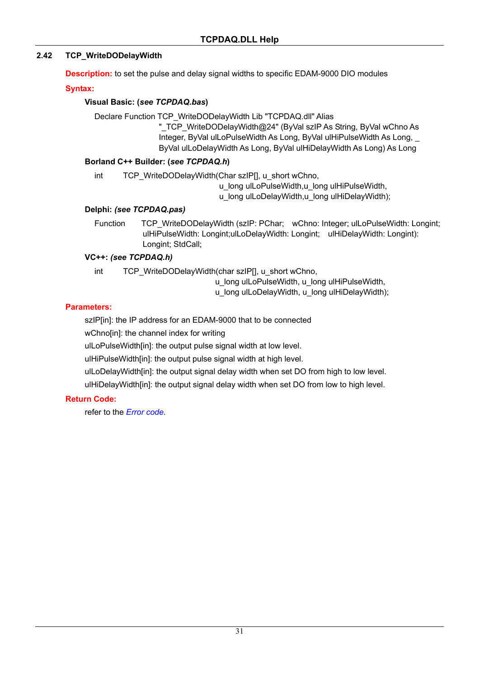### **2.42 TCP\_WriteDODelayWidth**

**Description:** to set the pulse and delay signal widths to specific EDAM-9000 DIO modules

**Syntax:** 

### **Visual Basic: (***see TCPDAQ.bas***)**

Declare Function TCP\_WriteDODelayWidth Lib "TCPDAQ.dll" Alias

"\_TCP\_WriteDODelayWidth@24" (ByVal szIP As String, ByVal wChno As Integer, ByVal ulLoPulseWidth As Long, ByVal ulHiPulseWidth As Long, \_ ByVal ulLoDelayWidth As Long, ByVal ulHiDelayWidth As Long) As Long

### **Borland C++ Builder: (***see TCPDAQ.h***)**

int TCP\_WriteDODelayWidth(Char szIP[], u\_short wChno,

u\_long ulLoPulseWidth,u\_long ulHiPulseWidth,

u\_long ulLoDelayWidth,u\_long ulHiDelayWidth);

### **Delphi:** *(see TCPDAQ.pas)*

Function TCP\_WriteDODelayWidth (szIP: PChar; wChno: Integer; ulLoPulseWidth: Longint; ulHiPulseWidth: Longint;ulLoDelayWidth: Longint; ulHiDelayWidth: Longint): Longint; StdCall;

### **VC++:** *(see TCPDAQ.h)*

int TCP\_WriteDODelayWidth(char szIP[], u\_short wChno,

u long ulLoPulseWidth, u long ulHiPulseWidth,

u\_long ulLoDelayWidth, u\_long ulHiDelayWidth);

### **Parameters:**

szIP[in]: the IP address for an EDAM-9000 that to be connected

wChno[in]: the channel index for writing

ulLoPulseWidth[in]: the output pulse signal width at low level.

ulHiPulseWidth[in]: the output pulse signal width at high level.

ulLoDelayWidth[in]: the output signal delay width when set DO from high to low level.

ulHiDelayWidth[in]: the output signal delay width when set DO from low to high level.

### **Return Code:**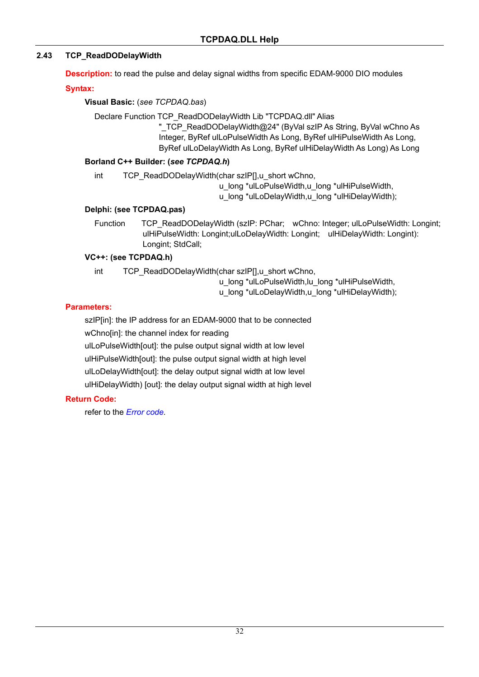### **2.43 TCP\_ReadDODelayWidth**

**Description:** to read the pulse and delay signal widths from specific EDAM-9000 DIO modules

**Syntax:** 

**Visual Basic:** (*see TCPDAQ.bas*)

Declare Function TCP\_ReadDODelayWidth Lib "TCPDAQ.dll" Alias

"\_TCP\_ReadDODelayWidth@24" (ByVal szIP As String, ByVal wChno As Integer, ByRef ulLoPulseWidth As Long, ByRef ulHiPulseWidth As Long, ByRef ulLoDelayWidth As Long, ByRef ulHiDelayWidth As Long) As Long

### **Borland C++ Builder: (***see TCPDAQ.h***)**

int TCP\_ReadDODelayWidth(char szIP[],u\_short wChno,

u\_long \*ulLoPulseWidth,u\_long \*ulHiPulseWidth,

u\_long \*ulLoDelayWidth,u\_long \*ulHiDelayWidth);

### **Delphi: (see TCPDAQ.pas)**

Function TCP\_ReadDODelayWidth (szIP: PChar: wChno: Integer: ulLoPulseWidth: Longint: ulHiPulseWidth: Longint;ulLoDelayWidth: Longint; ulHiDelayWidth: Longint): Longint; StdCall;

### **VC++: (see TCPDAQ.h)**

int TCP\_ReadDODelayWidth(char szIP[],u\_short wChno,

u\_long \*ulLoPulseWidth,lu\_long \*ulHiPulseWidth,

u\_long \*ulLoDelayWidth,u\_long \*ulHiDelayWidth);

### **Parameters:**

szIP[in]: the IP address for an EDAM-9000 that to be connected

wChno[in]: the channel index for reading

ulLoPulseWidth[out]: the pulse output signal width at low level

ulHiPulseWidth[out]: the pulse output signal width at high level

ulLoDelayWidth[out]: the delay output signal width at low level

ulHiDelayWidth) [out]: the delay output signal width at high level

### **Return Code:**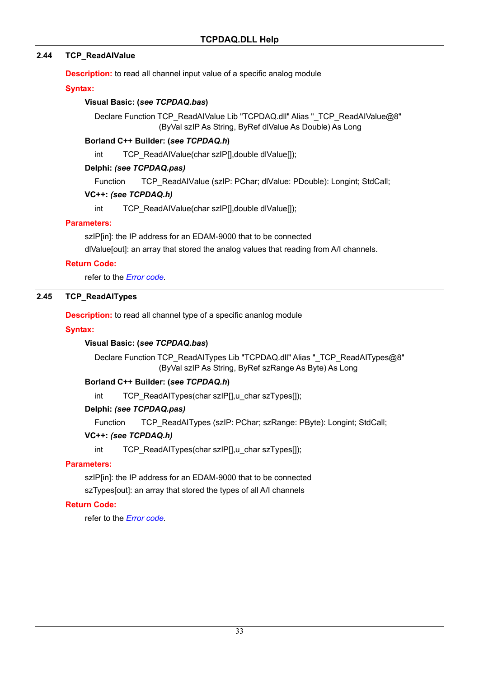### **2.44 TCP\_ReadAIValue**

**Description:** to read all channel input value of a specific analog module

#### **Syntax:**

### **Visual Basic: (***see TCPDAQ.bas***)**

Declare Function TCP\_ReadAIValue Lib "TCPDAQ.dll" Alias "\_TCP\_ReadAIValue@8" (ByVal szIP As String, ByRef dlValue As Double) As Long

#### **Borland C++ Builder: (***see TCPDAQ.h***)**

int TCP\_ReadAIValue(char szIP[],double dlValue[]);

#### **Delphi:** *(see TCPDAQ.pas)*

Function TCP\_ReadAIValue (szIP: PChar; dlValue: PDouble): Longint; StdCall;

#### **VC++:** *(see TCPDAQ.h)*

int TCP\_ReadAIValue(char szIP[],double dlValue[]);

#### **Parameters:**

szIP[in]: the IP address for an EDAM-9000 that to be connected

dlValue[out]: an array that stored the analog values that reading from A/I channels.

#### **Return Code:**

refer to the *Error code.* 

### **2.45 TCP\_ReadAITypes**

**Description:** to read all channel type of a specific ananlog module

### **Syntax:**

### **Visual Basic: (***see TCPDAQ.bas***)**

Declare Function TCP\_ReadAITypes Lib "TCPDAQ.dll" Alias "\_TCP\_ReadAITypes@8" (ByVal szIP As String, ByRef szRange As Byte) As Long

### **Borland C++ Builder: (***see TCPDAQ.h***)**

int TCP\_ReadAITypes(char szIP[],u\_char szTypes[]);

### **Delphi:** *(see TCPDAQ.pas)*

Function TCP\_ReadAITypes (szIP: PChar; szRange: PByte): Longint; StdCall;

### **VC++:** *(see TCPDAQ.h)*

int TCP\_ReadAITypes(char szIP[],u\_char szTypes[]);

### **Parameters:**

szIP[in]: the IP address for an EDAM-9000 that to be connected szTypes[out]: an array that stored the types of all A/I channels

### **Return Code:**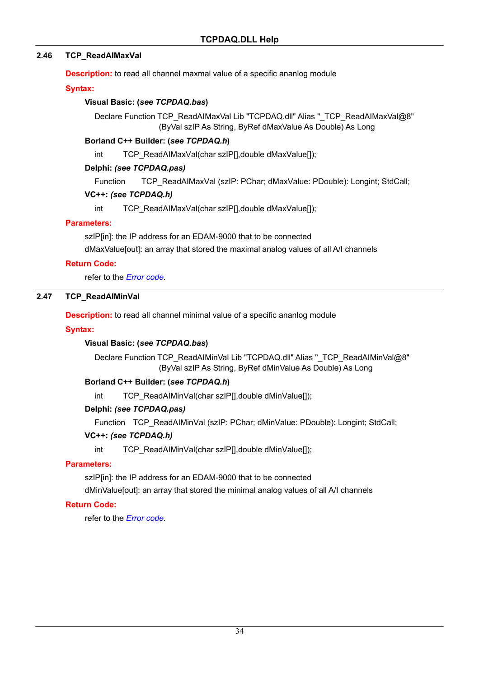### **2.46 TCP\_ReadAIMaxVal**

**Description:** to read all channel maxmal value of a specific ananlog module

#### **Syntax:**

### **Visual Basic: (***see TCPDAQ.bas***)**

Declare Function TCP\_ReadAIMaxVal Lib "TCPDAQ.dll" Alias "\_TCP\_ReadAIMaxVal@8" (ByVal szIP As String, ByRef dMaxValue As Double) As Long

#### **Borland C++ Builder: (***see TCPDAQ.h***)**

int TCP\_ReadAIMaxVal(char szIP[],double dMaxValue[]);

#### **Delphi:** *(see TCPDAQ.pas)*

Function TCP\_ReadAIMaxVal (szIP: PChar; dMaxValue: PDouble): Longint; StdCall;

#### **VC++:** *(see TCPDAQ.h)*

int TCP\_ReadAIMaxVal(char szIP[],double dMaxValue[]);

#### **Parameters:**

szIP[in]: the IP address for an EDAM-9000 that to be connected

dMaxValue[out]: an array that stored the maximal analog values of all A/I channels

#### **Return Code:**

refer to the *Error code.* 

### **2.47 TCP\_ReadAIMinVal**

**Description:** to read all channel minimal value of a specific ananlog module

#### **Syntax:**

### **Visual Basic: (***see TCPDAQ.bas***)**

Declare Function TCP\_ReadAIMinVal Lib "TCPDAQ.dll" Alias "\_TCP\_ReadAIMinVal@8" (ByVal szIP As String, ByRef dMinValue As Double) As Long

### **Borland C++ Builder: (***see TCPDAQ.h***)**

int TCP\_ReadAIMinVal(char szIP[],double dMinValue[]);

#### **Delphi:** *(see TCPDAQ.pas)*

Function TCP\_ReadAIMinVal (szIP: PChar; dMinValue: PDouble): Longint; StdCall;

#### **VC++:** *(see TCPDAQ.h)*

int TCP\_ReadAIMinVal(char szIP[],double dMinValue[]);

### **Parameters:**

szIP[in]: the IP address for an EDAM-9000 that to be connected

dMinValue[out]: an array that stored the minimal analog values of all A/I channels

### **Return Code:**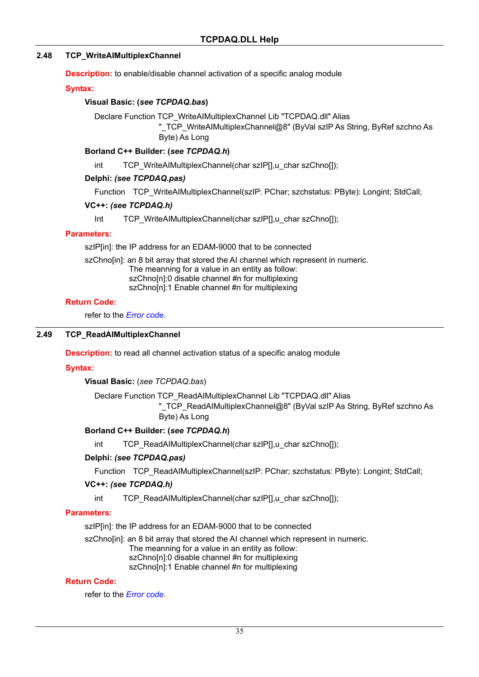### **2.48 TCP\_WriteAIMultiplexChannel**

**Description:** to enable/disable channel activation of a specific analog module

#### **Syntax:**

#### **Visual Basic: (***see TCPDAQ.bas***)**

Declare Function TCP\_WriteAIMultiplexChannel Lib "TCPDAQ.dll" Alias

"\_TCP\_WriteAIMultiplexChannel@8" (ByVal szIP As String, ByRef szchno As Byte) As Long

#### **Borland C++ Builder: (***see TCPDAQ.h***)**

int TCP\_WriteAIMultiplexChannel(char szIP[],u\_char szChno[]);

#### **Delphi:** *(see TCPDAQ.pas)*

Function TCP\_WriteAIMultiplexChannel(szIP: PChar; szchstatus: PByte): Longint; StdCall;

#### **VC++:** *(see TCPDAQ.h)*

Int TCP\_WriteAIMultiplexChannel(char szIP[],u\_char szChno[]);

#### **Parameters:**

szIP[in]: the IP address for an EDAM-9000 that to be connected

szChno[in]: an 8 bit array that stored the AI channel which represent in numeric. The meanning for a value in an entity as follow: szChno[n]:0 disable channel #n for multiplexing szChno[n]:1 Enable channel #n for multiplexing

#### **Return Code:**

refer to the *Error code.* 

#### **2.49 TCP\_ReadAIMultiplexChannel**

**Description:** to read all channel activation status of a specific analog module

### **Syntax:**

**Visual Basic:** (*see TCPDAQ.bas*)

Declare Function TCP\_ReadAIMultiplexChannel Lib "TCPDAQ.dll" Alias

"\_TCP\_ReadAIMultiplexChannel@8" (ByVal szIP As String, ByRef szchno As Byte) As Long

### **Borland C++ Builder: (***see TCPDAQ.h***)**

int TCP\_ReadAIMultiplexChannel(char szIP[],u\_char szChno[]);

#### **Delphi:** *(see TCPDAQ.pas)*

Function TCP\_ReadAIMultiplexChannel(szIP: PChar; szchstatus: PByte): Longint; StdCall;

#### **VC++:** *(see TCPDAQ.h)*

int TCP\_ReadAIMultiplexChannel(char szIP[],u\_char szChno[]);

#### **Parameters:**

szIP[in]: the IP address for an EDAM-9000 that to be connected

szChno[in]: an 8 bit array that stored the AI channel which represent in numeric.

The meanning for a value in an entity as follow:

szChno[n]:0 disable channel #n for multiplexing

szChno[n]:1 Enable channel #n for multiplexing

#### **Return Code:**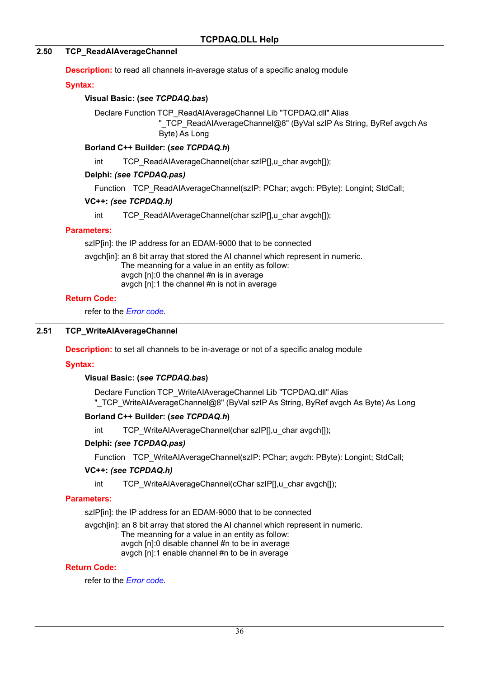#### **2.50 TCP\_ReadAIAverageChannel**

**Description:** to read all channels in-average status of a specific analog module

#### **Syntax:**

#### **Visual Basic: (***see TCPDAQ.bas***)**

Declare Function TCP\_ReadAIAverageChannel Lib "TCPDAQ.dll" Alias

"\_TCP\_ReadAIAverageChannel@8" (ByVal szIP As String, ByRef avgch As Byte) As Long

#### **Borland C++ Builder: (***see TCPDAQ.h***)**

int TCP\_ReadAIAverageChannel(char szIP[],u\_char avgch[]);

#### **Delphi:** *(see TCPDAQ.pas)*

Function TCP\_ReadAIAverageChannel(szIP: PChar; avgch: PByte): Longint; StdCall;

#### **VC++:** *(see TCPDAQ.h)*

int TCP\_ReadAIAverageChannel(char szIP[],u\_char avgch[]);

#### **Parameters:**

szIP[in]: the IP address for an EDAM-9000 that to be connected

avgch[in]: an 8 bit array that stored the AI channel which represent in numeric. The meanning for a value in an entity as follow: avgch [n]:0 the channel #n is in average avgch [n]:1 the channel #n is not in average

#### **Return Code:**

refer to the *Error code.* 

#### **2.51 TCP\_WriteAIAverageChannel**

**Description:** to set all channels to be in-average or not of a specific analog module

### **Syntax:**

### **Visual Basic: (***see TCPDAQ.bas***)**

Declare Function TCP\_WriteAIAverageChannel Lib "TCPDAQ.dll" Alias "\_TCP\_WriteAIAverageChannel@8" (ByVal szIP As String, ByRef avgch As Byte) As Long

#### **Borland C++ Builder: (***see TCPDAQ.h***)**

int TCP\_WriteAIAverageChannel(char szIP[],u\_char avgch[]);

#### **Delphi:** *(see TCPDAQ.pas)*

Function TCP WriteAIAverageChannel(szIP: PChar; avgch: PByte): Longint; StdCall;

#### **VC++:** *(see TCPDAQ.h)*

int TCP\_WriteAIAverageChannel(cChar szIP[],u\_char avgch[]);

#### **Parameters:**

szIP[in]: the IP address for an EDAM-9000 that to be connected

avgch[in]: an 8 bit array that stored the AI channel which represent in numeric.

The meanning for a value in an entity as follow:

avgch [n]:0 disable channel #n to be in average

avgch [n]:1 enable channel #n to be in average

#### **Return Code:**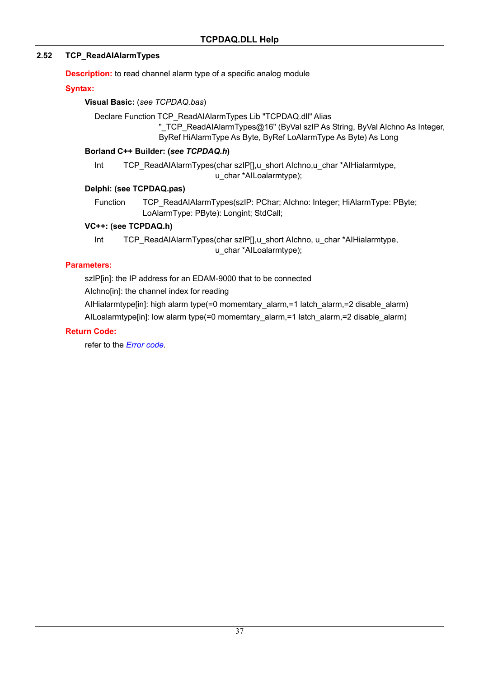### **2.52 TCP\_ReadAIAlarmTypes**

**Description:** to read channel alarm type of a specific analog module

### **Syntax:**

### **Visual Basic:** (*see TCPDAQ.bas*)

Declare Function TCP\_ReadAIAlarmTypes Lib "TCPDAQ.dll" Alias

"\_TCP\_ReadAIAlarmTypes@16" (ByVal szIP As String, ByVal AIchno As Integer,

ByRef HiAlarmType As Byte, ByRef LoAlarmType As Byte) As Long

### **Borland C++ Builder: (***see TCPDAQ.h***)**

Int TCP\_ReadAIAlarmTypes(char szIP[],u\_short AIchno,u\_char \*AIHialarmtype, u\_char \*AILoalarmtype);

### **Delphi: (see TCPDAQ.pas)**

Function TCP\_ReadAIAlarmTypes(szIP: PChar; AIchno: Integer; HiAlarmType: PByte; LoAlarmType: PByte): Longint; StdCall;

### **VC++: (see TCPDAQ.h)**

Int TCP\_ReadAIAlarmTypes(char szIP[],u\_short AIchno, u\_char \*AIHialarmtype, u\_char \*AILoalarmtype);

### **Parameters:**

szIP[in]: the IP address for an EDAM-9000 that to be connected

AIchno[in]: the channel index for reading

AIHialarmtype[in]: high alarm type(=0 momemtary\_alarm,=1 latch\_alarm,=2 disable\_alarm) AILoalarmtype[in]: low alarm type(=0 momemtary\_alarm,=1 latch\_alarm,=2 disable\_alarm)

### **Return Code:**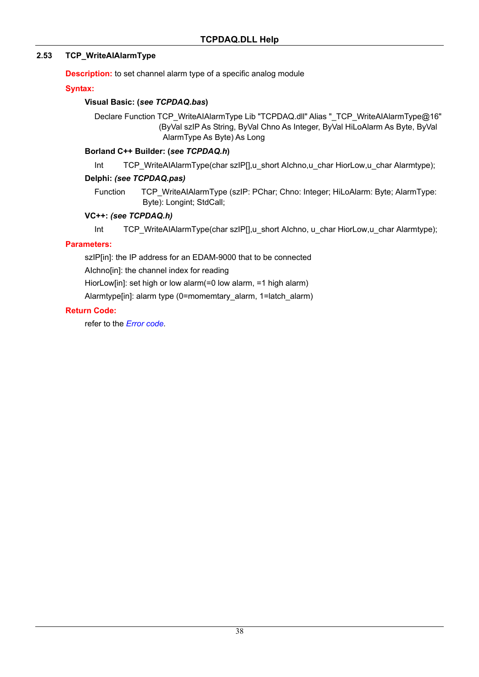### **2.53 TCP\_WriteAIAlarmType**

**Description:** to set channel alarm type of a specific analog module

### **Syntax:**

### **Visual Basic: (***see TCPDAQ.bas***)**

Declare Function TCP\_WriteAIAlarmType Lib "TCPDAQ.dll" Alias "\_TCP\_WriteAIAlarmType@16" (ByVal szIP As String, ByVal Chno As Integer, ByVal HiLoAlarm As Byte, ByVal AlarmType As Byte) As Long

### **Borland C++ Builder: (***see TCPDAQ.h***)**

Int TCP\_WriteAIAlarmType(char szIP[],u\_short AIchno,u\_char HiorLow,u\_char Alarmtype);

### **Delphi:** *(see TCPDAQ.pas)*

Function TCP WriteAIAlarmType (szIP: PChar; Chno: Integer; HiLoAlarm: Byte; AlarmType: Byte): Longint; StdCall;

### **VC++:** *(see TCPDAQ.h)*

Int TCP\_WriteAIAlarmType(char szIP[],u\_short AIchno, u\_char HiorLow,u\_char Alarmtype);

### **Parameters:**

szIP[in]: the IP address for an EDAM-9000 that to be connected

AIchno[in]: the channel index for reading

HiorLow[in]: set high or low alarm(=0 low alarm, =1 high alarm)

Alarmtype[in]: alarm type (0=momemtary\_alarm, 1=latch\_alarm)

### **Return Code:**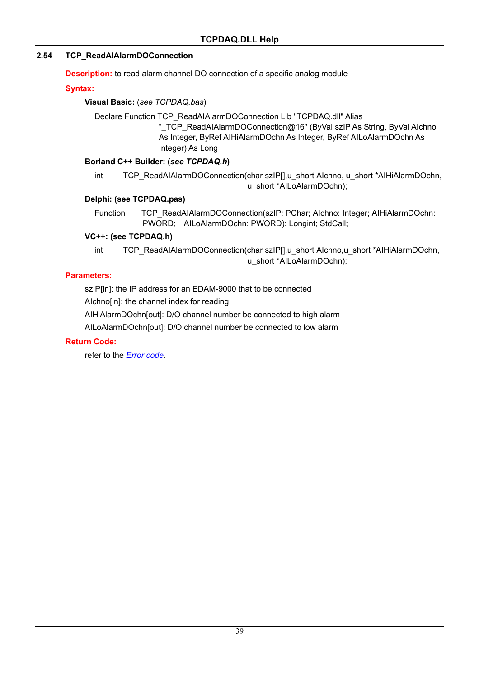### **2.54 TCP\_ReadAIAlarmDOConnection**

**Description:** to read alarm channel DO connection of a specific analog module

### **Syntax:**

### **Visual Basic:** (*see TCPDAQ.bas*)

Declare Function TCP\_ReadAIAlarmDOConnection Lib "TCPDAQ.dll" Alias "\_TCP\_ReadAIAlarmDOConnection@16" (ByVal szIP As String, ByVal AIchno

As Integer, ByRef AIHiAlarmDOchn As Integer, ByRef AILoAlarmDOchn As Integer) As Long

### **Borland C++ Builder: (***see TCPDAQ.h***)**

int TCP\_ReadAIAlarmDOConnection(char szIP[],u\_short AIchno, u\_short \*AIHiAlarmDOchn, u\_short \*AILoAlarmDOchn);

### **Delphi: (see TCPDAQ.pas)**

Function TCP\_ReadAIAlarmDOConnection(szIP: PChar; Alchno: Integer; AIHiAlarmDOchn: PWORD; AILoAlarmDOchn: PWORD): Longint; StdCall;

### **VC++: (see TCPDAQ.h)**

int TCP\_ReadAIAlarmDOConnection(char szIP[],u\_short AIchno,u\_short \*AIHiAlarmDOchn, u\_short \*AILoAlarmDOchn);

### **Parameters:**

szIP[in]: the IP address for an EDAM-9000 that to be connected

AIchno[in]: the channel index for reading

AIHiAlarmDOchn[out]: D/O channel number be connected to high alarm

AILoAlarmDOchn[out]: D/O channel number be connected to low alarm

### **Return Code:**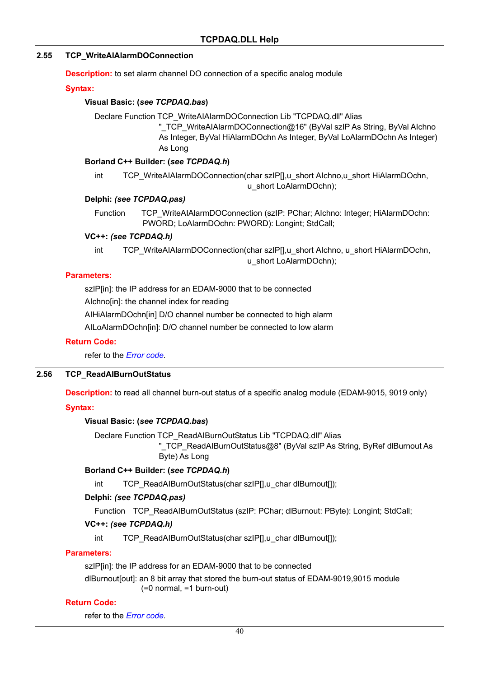### **2.55 TCP\_WriteAIAlarmDOConnection**

**Description:** to set alarm channel DO connection of a specific analog module

#### **Syntax:**

#### **Visual Basic: (***see TCPDAQ.bas***)**

Declare Function TCP\_WriteAIAlarmDOConnection Lib "TCPDAQ.dll" Alias

" TCP WriteAIAlarmDOConnection@16" (ByVal szIP As String, ByVal AIchno As Integer, ByVal HiAlarmDOchn As Integer, ByVal LoAlarmDOchn As Integer) As Long

#### **Borland C++ Builder: (***see TCPDAQ.h***)**

int TCP\_WriteAIAlarmDOConnection(char szIP[],u\_short AIchno,u\_short HiAlarmDOchn, u\_short LoAlarmDOchn);

#### **Delphi:** *(see TCPDAQ.pas)*

Function TCP\_WriteAIAlarmDOConnection (szIP: PChar; Alchno: Integer; HiAlarmDOchn: PWORD; LoAlarmDOchn: PWORD): Longint; StdCall;

#### **VC++:** *(see TCPDAQ.h)*

int TCP\_WriteAIAlarmDOConnection(char szIP[],u\_short AIchno, u\_short HiAlarmDOchn, u\_short LoAlarmDOchn);

#### **Parameters:**

szIP[in]: the IP address for an EDAM-9000 that to be connected

AIchno[in]: the channel index for reading

AIHiAlarmDOchn[in] D/O channel number be connected to high alarm

AILoAlarmDOchn[in]: D/O channel number be connected to low alarm

#### **Return Code:**

refer to the *Error code.* 

### **2.56 TCP\_ReadAIBurnOutStatus**

**Description:** to read all channel burn-out status of a specific analog module (EDAM-9015, 9019 only)

### **Syntax:**

### **Visual Basic: (***see TCPDAQ.bas***)**

Declare Function TCP\_ReadAIBurnOutStatus Lib "TCPDAQ.dll" Alias

" TCP\_ReadAIBurnOutStatus@8" (ByVal szIP As String, ByRef dlBurnout As Byte) As Long

### **Borland C++ Builder: (***see TCPDAQ.h***)**

int TCP\_ReadAIBurnOutStatus(char szIP[],u\_char dlBurnout[]);

### **Delphi:** *(see TCPDAQ.pas)*

Function TCP\_ReadAIBurnOutStatus (szIP: PChar; dlBurnout: PByte): Longint; StdCall;

#### **VC++:** *(see TCPDAQ.h)*

int TCP\_ReadAIBurnOutStatus(char szIP[],u\_char dlBurnout[]);

#### **Parameters:**

szIP[in]: the IP address for an EDAM-9000 that to be connected

dlBurnout[out]: an 8 bit array that stored the burn-out status of EDAM-9019,9015 module (=0 normal, =1 burn-out)

#### **Return Code:**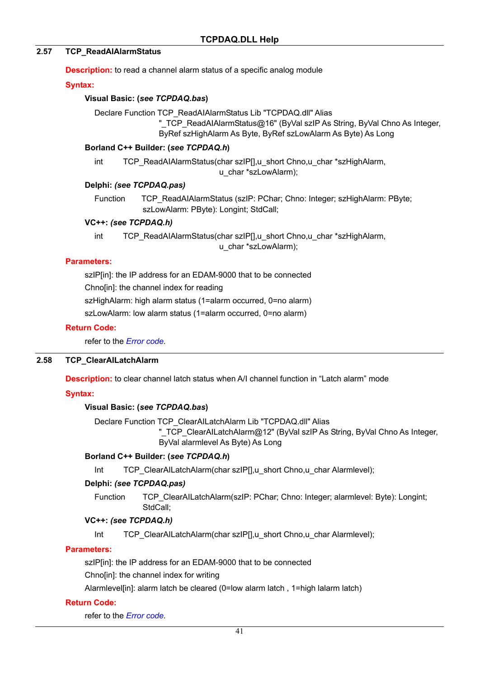#### **2.57 TCP\_ReadAIAlarmStatus**

**Description:** to read a channel alarm status of a specific analog module

#### **Syntax:**

#### **Visual Basic: (***see TCPDAQ.bas***)**

Declare Function TCP\_ReadAIAlarmStatus Lib "TCPDAQ.dll" Alias

" TCP\_ReadAIAlarmStatus@16" (ByVal szIP As String, ByVal Chno As Integer, ByRef szHighAlarm As Byte, ByRef szLowAlarm As Byte) As Long

#### **Borland C++ Builder: (***see TCPDAQ.h***)**

int TCP\_ReadAIAlarmStatus(char szIP[],u\_short Chno,u\_char \*szHighAlarm, u\_char \*szLowAlarm);

### **Delphi:** *(see TCPDAQ.pas)*

Function TCP\_ReadAIAlarmStatus (szlP: PChar; Chno: Integer; szHighAlarm: PByte; szLowAlarm: PByte): Longint; StdCall;

#### **VC++:** *(see TCPDAQ.h)*

int TCP\_ReadAIAlarmStatus(char szIP[],u\_short Chno,u\_char \*szHighAlarm, u\_char \*szLowAlarm);

### **Parameters:**

szIP[in]: the IP address for an EDAM-9000 that to be connected Chno[in]: the channel index for reading szHighAlarm: high alarm status (1=alarm occurred, 0=no alarm) szLowAlarm: low alarm status (1=alarm occurred, 0=no alarm)

#### **Return Code:**

refer to the *Error code.* 

### **2.58 TCP\_ClearAILatchAlarm**

**Description:** to clear channel latch status when A/I channel function in "Latch alarm" mode

#### **Syntax:**

### **Visual Basic: (***see TCPDAQ.bas***)**

Declare Function TCP\_ClearAILatchAlarm Lib "TCPDAQ.dll" Alias

" TCP ClearAILatchAlarm@12" (ByVal szIP As String, ByVal Chno As Integer, ByVal alarmlevel As Byte) As Long

#### **Borland C++ Builder: (***see TCPDAQ.h***)**

Int TCP ClearAILatchAlarm(char szIP[],u\_short Chno,u\_char Alarmlevel);

### **Delphi:** *(see TCPDAQ.pas)*

Function TCP ClearAILatchAlarm(szIP: PChar; Chno: Integer; alarmlevel: Byte): Longint; StdCall;

#### **VC++:** *(see TCPDAQ.h)*

Int TCP ClearAILatchAlarm(char szIP[],u\_short Chno,u\_char Alarmlevel);

#### **Parameters:**

szIP[in]: the IP address for an EDAM-9000 that to be connected

Chno[in]: the channel index for writing

Alarmlevel[in]: alarm latch be cleared (0=low alarm latch , 1=high lalarm latch)

#### **Return Code:**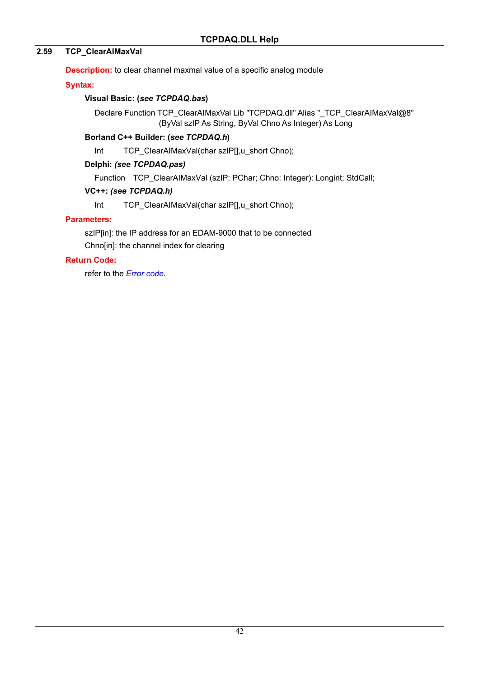### **2.59 TCP\_ClearAIMaxVal**

**Description:** to clear channel maxmal value of a specific analog module

### **Syntax:**

### **Visual Basic: (***see TCPDAQ.bas***)**

Declare Function TCP\_ClearAIMaxVal Lib "TCPDAQ.dll" Alias "\_TCP\_ClearAIMaxVal@8" (ByVal szIP As String, ByVal Chno As Integer) As Long

### **Borland C++ Builder: (***see TCPDAQ.h***)**

Int TCP ClearAIMaxVal(char szIP[],u\_short Chno);

### **Delphi:** *(see TCPDAQ.pas)*

Function TCP ClearAIMaxVal (szIP: PChar; Chno: Integer): Longint; StdCall;

### **VC++:** *(see TCPDAQ.h)*

Int TCP\_ClearAIMaxVal(char szIP[],u\_short Chno);

### **Parameters:**

szIP[in]: the IP address for an EDAM-9000 that to be connected Chno[in]: the channel index for clearing

### **Return Code:**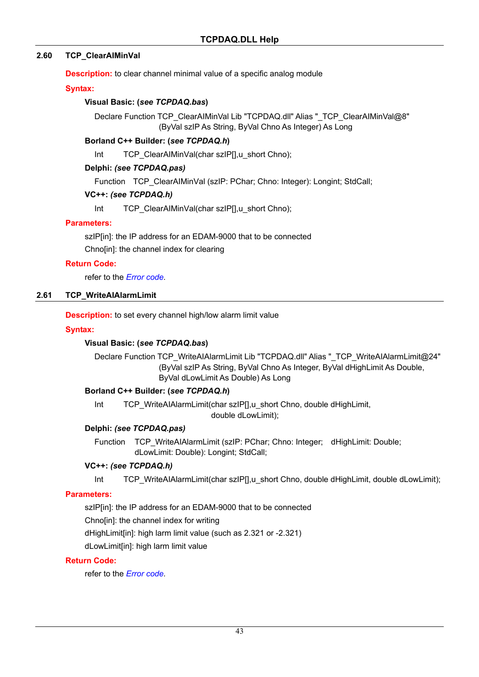### **2.60 TCP\_ClearAIMinVal**

**Description:** to clear channel minimal value of a specific analog module

#### **Syntax:**

#### **Visual Basic: (***see TCPDAQ.bas***)**

Declare Function TCP\_ClearAIMinVal Lib "TCPDAQ.dll" Alias "\_TCP\_ClearAIMinVal@8" (ByVal szIP As String, ByVal Chno As Integer) As Long

#### **Borland C++ Builder: (***see TCPDAQ.h***)**

Int TCP ClearAIMinVal(char szIP[],u\_short Chno);

#### **Delphi:** *(see TCPDAQ.pas)*

Function TCP ClearAIMinVal (szIP: PChar; Chno: Integer): Longint; StdCall;

#### **VC++:** *(see TCPDAQ.h)*

Int TCP ClearAIMinVal(char szIP[],u\_short Chno);

#### **Parameters:**

szIP[in]: the IP address for an EDAM-9000 that to be connected Chno[in]: the channel index for clearing

#### **Return Code:**

refer to the *Error code.* 

### **2.61 TCP\_WriteAIAlarmLimit**

**Description:** to set every channel high/low alarm limit value

#### **Syntax:**

### **Visual Basic: (***see TCPDAQ.bas***)**

Declare Function TCP\_WriteAIAlarmLimit Lib "TCPDAQ.dll" Alias "\_TCP\_WriteAIAlarmLimit@24" (ByVal szIP As String, ByVal Chno As Integer, ByVal dHighLimit As Double, ByVal dLowLimit As Double) As Long

#### **Borland C++ Builder: (***see TCPDAQ.h***)**

Int TCP\_WriteAIAlarmLimit(char szIP[],u\_short Chno, double dHighLimit, double dLowLimit);

### **Delphi:** *(see TCPDAQ.pas)*

Function TCP\_WriteAIAlarmLimit (szIP: PChar; Chno: Integer; dHighLimit: Double; dLowLimit: Double): Longint; StdCall;

#### **VC++:** *(see TCPDAQ.h)*

Int TCP\_WriteAIAlarmLimit(char szIP[],u\_short Chno, double dHighLimit, double dLowLimit);

#### **Parameters:**

szIP[in]: the IP address for an EDAM-9000 that to be connected Chno[in]: the channel index for writing dHighLimit[in]: high larm limit value (such as 2.321 or -2.321) dLowLimit[in]: high larm limit value

#### **Return Code:**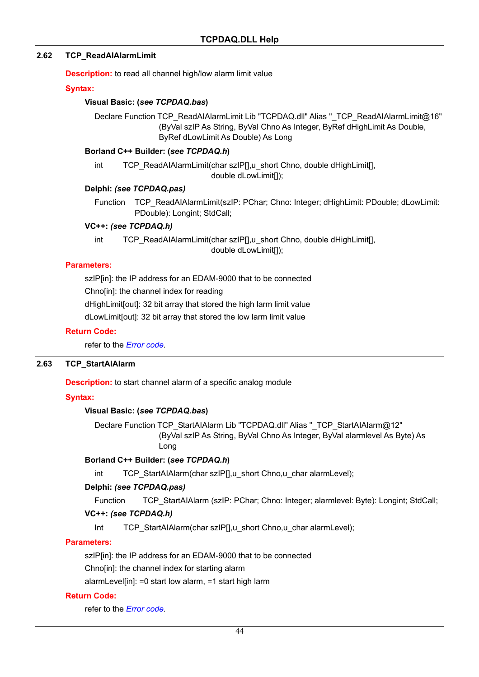#### **2.62 TCP\_ReadAIAlarmLimit**

**Description:** to read all channel high/low alarm limit value

#### **Syntax:**

#### **Visual Basic: (***see TCPDAQ.bas***)**

Declare Function TCP\_ReadAIAlarmLimit Lib "TCPDAQ.dll" Alias "\_TCP\_ReadAIAlarmLimit@16" (ByVal szIP As String, ByVal Chno As Integer, ByRef dHighLimit As Double, ByRef dLowLimit As Double) As Long

#### **Borland C++ Builder: (***see TCPDAQ.h***)**

int TCP\_ReadAIAlarmLimit(char szIP[],u\_short Chno, double dHighLimit[], double dLowLimit[]);

#### **Delphi:** *(see TCPDAQ.pas)*

Function TCP\_ReadAIAlarmLimit(szIP: PChar; Chno: Integer; dHighLimit: PDouble; dLowLimit: PDouble): Longint; StdCall;

#### **VC++:** *(see TCPDAQ.h)*

int TCP\_ReadAIAlarmLimit(char szIP[],u\_short Chno, double dHighLimit[], double dLowLimit[]);

#### **Parameters:**

szIP[in]: the IP address for an EDAM-9000 that to be connected

Chno[in]: the channel index for reading

dHighLimit[out]: 32 bit array that stored the high larm limit value

dLowLimit[out]: 32 bit array that stored the low larm limit value

#### **Return Code:**

refer to the *Error code.* 

#### **2.63 TCP\_StartAIAlarm**

**Description:** to start channel alarm of a specific analog module

#### **Syntax:**

#### **Visual Basic: (***see TCPDAQ.bas***)**

Declare Function TCP\_StartAIAlarm Lib "TCPDAQ.dll" Alias "\_TCP\_StartAIAlarm@12" (ByVal szIP As String, ByVal Chno As Integer, ByVal alarmlevel As Byte) As Long

#### **Borland C++ Builder: (***see TCPDAQ.h***)**

int TCP\_StartAIAlarm(char szIP[],u\_short Chno,u\_char alarmLevel);

### **Delphi:** *(see TCPDAQ.pas)*

Function TCP StartAIAlarm (szIP: PChar; Chno: Integer; alarmlevel: Byte): Longint; StdCall;

### **VC++:** *(see TCPDAQ.h)*

Int TCP\_StartAIAlarm(char szIP[],u\_short Chno,u\_char alarmLevel);

### **Parameters:**

szIP[in]: the IP address for an EDAM-9000 that to be connected

Chno[in]: the channel index for starting alarm

alarmLevel[in]: =0 start low alarm, =1 start high larm

#### **Return Code:**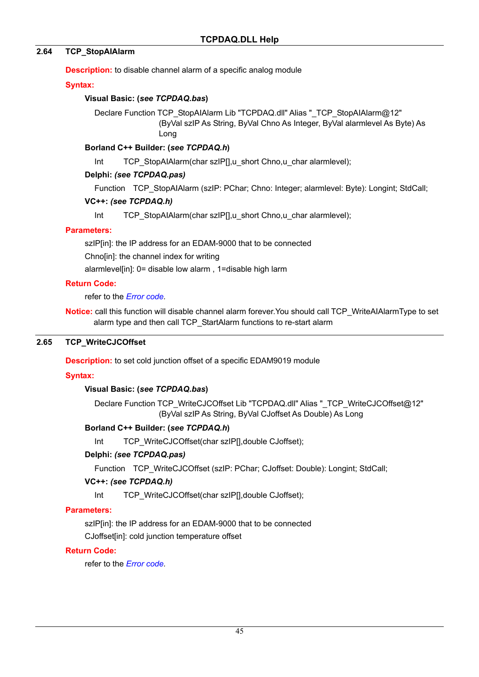### **2.64 TCP\_StopAIAlarm**

**Description:** to disable channel alarm of a specific analog module

### **Syntax:**

### **Visual Basic: (***see TCPDAQ.bas***)**

Declare Function TCP\_StopAIAlarm Lib "TCPDAQ.dll" Alias "\_TCP\_StopAIAlarm@12" (ByVal szIP As String, ByVal Chno As Integer, ByVal alarmlevel As Byte) As Long

### **Borland C++ Builder: (***see TCPDAQ.h***)**

Int TCP\_StopAIAlarm(char szIP[],u\_short Chno,u\_char alarmlevel);

### **Delphi:** *(see TCPDAQ.pas)*

Function TCP StopAIAlarm (szIP: PChar; Chno: Integer; alarmlevel: Byte): Longint; StdCall;

### **VC++:** *(see TCPDAQ.h)*

Int TCP\_StopAIAlarm(char szIP[],u\_short Chno,u\_char alarmlevel);

### **Parameters:**

szIP[in]: the IP address for an EDAM-9000 that to be connected Chno[in]: the channel index for writing

alarmlevel[in]: 0= disable low alarm , 1=disable high larm

### **Return Code:**

refer to the *Error code.* 

**Notice:** call this function will disable channel alarm forever.You should call TCP\_WriteAIAlarmType to set alarm type and then call TCP\_StartAlarm functions to re-start alarm

### **2.65 TCP\_WriteCJCOffset**

**Description:** to set cold junction offset of a specific EDAM9019 module

### **Syntax:**

### **Visual Basic: (***see TCPDAQ.bas***)**

Declare Function TCP\_WriteCJCOffset Lib "TCPDAQ.dll" Alias "\_TCP\_WriteCJCOffset@12" (ByVal szIP As String, ByVal CJoffset As Double) As Long

### **Borland C++ Builder: (***see TCPDAQ.h***)**

Int TCP WriteCJCOffset(char szIP[],double CJoffset);

### **Delphi:** *(see TCPDAQ.pas)*

Function TCP\_WriteCJCOffset (szIP: PChar; CJoffset: Double): Longint; StdCall;

### **VC++:** *(see TCPDAQ.h)*

Int TCP\_WriteCJCOffset(char szIP[],double CJoffset);

### **Parameters:**

szIP[in]: the IP address for an EDAM-9000 that to be connected

CJoffset[in]: cold junction temperature offset

### **Return Code:**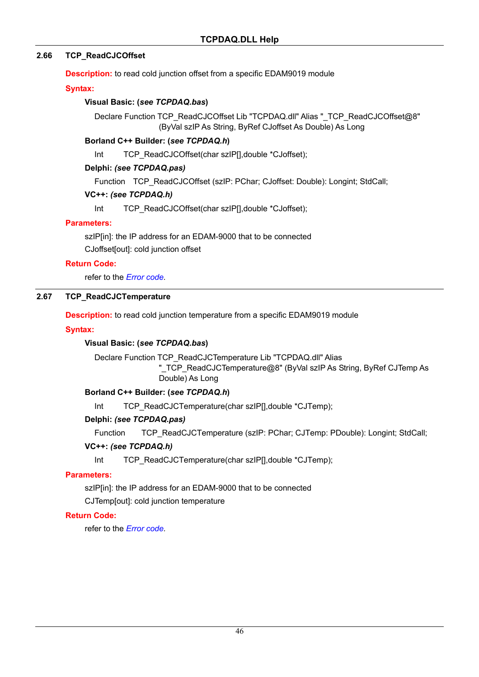### **2.66 TCP\_ReadCJCOffset**

**Description:** to read cold junction offset from a specific EDAM9019 module

#### **Syntax:**

### **Visual Basic: (***see TCPDAQ.bas***)**

Declare Function TCP\_ReadCJCOffset Lib "TCPDAQ.dll" Alias "\_TCP\_ReadCJCOffset@8" (ByVal szIP As String, ByRef CJoffset As Double) As Long

#### **Borland C++ Builder: (***see TCPDAQ.h***)**

Int TCP\_ReadCJCOffset(char szIP[],double \*CJoffset);

#### **Delphi:** *(see TCPDAQ.pas)*

Function TCP\_ReadCJCOffset (szlP: PChar; CJoffset: Double): Longint; StdCall;

#### **VC++:** *(see TCPDAQ.h)*

Int TCP\_ReadCJCOffset(char szIP[],double \*CJoffset);

#### **Parameters:**

szIP[in]: the IP address for an EDAM-9000 that to be connected CJoffset[out]: cold junction offset

#### **Return Code:**

refer to the *Error code.* 

### **2.67 TCP\_ReadCJCTemperature**

**Description:** to read cold junction temperature from a specific EDAM9019 module

#### **Syntax:**

### **Visual Basic: (***see TCPDAQ.bas***)**

Declare Function TCP\_ReadCJCTemperature Lib "TCPDAQ.dll" Alias

"\_TCP\_ReadCJCTemperature@8" (ByVal szIP As String, ByRef CJTemp As Double) As Long

### **Borland C++ Builder: (***see TCPDAQ.h***)**

Int TCP\_ReadCJCTemperature(char szIP[],double \*CJTemp);

#### **Delphi:** *(see TCPDAQ.pas)*

Function TCP\_ReadCJCTemperature (szIP: PChar; CJTemp: PDouble): Longint; StdCall;

### **VC++:** *(see TCPDAQ.h)*

Int TCP\_ReadCJCTemperature(char szIP[],double \*CJTemp);

#### **Parameters:**

szIP[in]: the IP address for an EDAM-9000 that to be connected

CJTemp[out]: cold junction temperature

#### **Return Code:**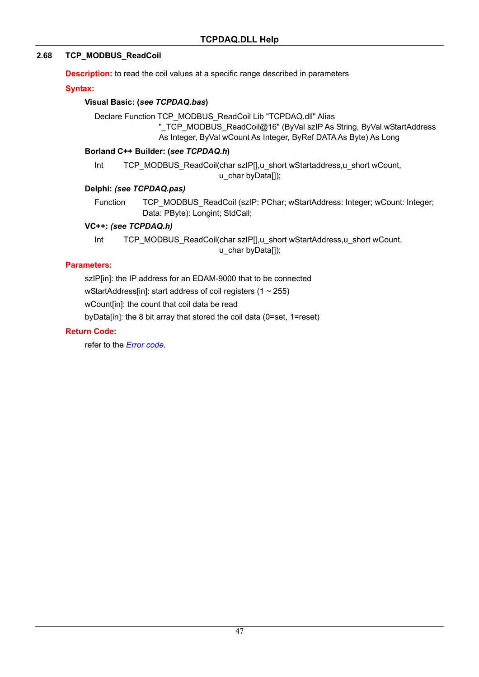### **2.68 TCP\_MODBUS\_ReadCoil**

**Description:** to read the coil values at a specific range described in parameters

#### **Syntax:**

#### **Visual Basic: (***see TCPDAQ.bas***)**

Declare Function TCP\_MODBUS\_ReadCoil Lib "TCPDAQ.dll" Alias "\_TCP\_MODBUS\_ReadCoil@16" (ByVal szIP As String, ByVal wStartAddress As Integer, ByVal wCount As Integer, ByRef DATA As Byte) As Long

#### **Borland C++ Builder: (***see TCPDAQ.h***)**

Int TCP\_MODBUS\_ReadCoil(char szIP[],u\_short wStartaddress,u\_short wCount, u char byData[]);

#### **Delphi:** *(see TCPDAQ.pas)*

Function TCP\_MODBUS\_ReadCoil (szIP: PChar; wStartAddress: Integer; wCount: Integer; Data: PByte): Longint; StdCall;

#### **VC++:** *(see TCPDAQ.h)*

Int TCP\_MODBUS\_ReadCoil(char szIP[],u\_short wStartAddress,u\_short wCount, u char byData[]);

### **Parameters:**

szIP[in]: the IP address for an EDAM-9000 that to be connected

wStartAddress[in]: start address of coil registers  $(1 \sim 255)$ 

wCount[in]: the count that coil data be read

byData[in]: the 8 bit array that stored the coil data (0=set, 1=reset)

### **Return Code:**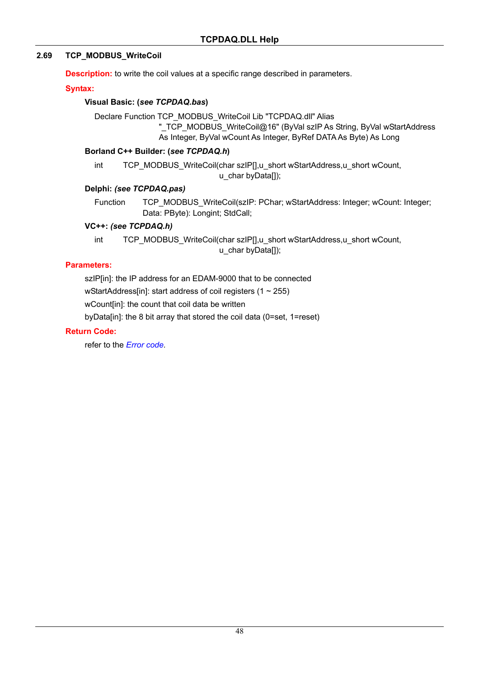### **2.69 TCP\_MODBUS\_WriteCoil**

**Description:** to write the coil values at a specific range described in parameters.

#### **Syntax:**

#### **Visual Basic: (***see TCPDAQ.bas***)**

Declare Function TCP\_MODBUS\_WriteCoil Lib "TCPDAQ.dll" Alias "\_TCP\_MODBUS\_WriteCoil@16" (ByVal szIP As String, ByVal wStartAddress As Integer, ByVal wCount As Integer, ByRef DATA As Byte) As Long

#### **Borland C++ Builder: (***see TCPDAQ.h***)**

int TCP\_MODBUS\_WriteCoil(char szIP[],u\_short wStartAddress,u\_short wCount, u char byData[]);

#### **Delphi:** *(see TCPDAQ.pas)*

Function TCP\_MODBUS\_WriteCoil(szIP: PChar; wStartAddress: Integer; wCount: Integer; Data: PByte): Longint; StdCall;

#### **VC++:** *(see TCPDAQ.h)*

int TCP\_MODBUS\_WriteCoil(char szIP[],u\_short wStartAddress,u\_short wCount, u char byData[]);

### **Parameters:**

szIP[in]: the IP address for an EDAM-9000 that to be connected

wStartAddress[in]: start address of coil registers  $(1 \sim 255)$ 

wCount[in]: the count that coil data be written

byData[in]: the 8 bit array that stored the coil data (0=set, 1=reset)

### **Return Code:**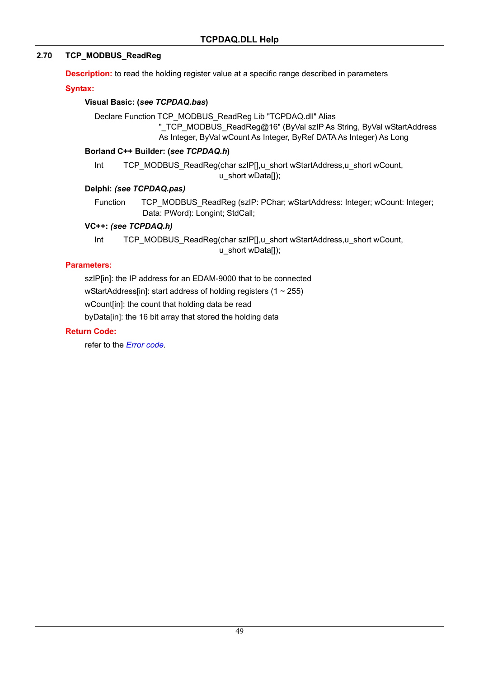### **2.70 TCP\_MODBUS\_ReadReg**

**Description:** to read the holding register value at a specific range described in parameters

#### **Syntax:**

#### **Visual Basic: (***see TCPDAQ.bas***)**

Declare Function TCP\_MODBUS\_ReadReg Lib "TCPDAQ.dll" Alias "\_TCP\_MODBUS\_ReadReg@16" (ByVal szIP As String, ByVal wStartAddress As Integer, ByVal wCount As Integer, ByRef DATA As Integer) As Long

#### **Borland C++ Builder: (***see TCPDAQ.h***)**

Int TCP\_MODBUS\_ReadReg(char szIP[],u\_short wStartAddress,u\_short wCount, u short wData[]);

#### **Delphi:** *(see TCPDAQ.pas)*

Function TCP\_MODBUS\_ReadReg (szIP: PChar; wStartAddress: Integer; wCount: Integer; Data: PWord): Longint; StdCall;

#### **VC++:** *(see TCPDAQ.h)*

Int TCP\_MODBUS\_ReadReg(char szIP[],u\_short wStartAddress,u\_short wCount, u\_short wData[]);

### **Parameters:**

szIP[in]: the IP address for an EDAM-9000 that to be connected wStartAddress[in]: start address of holding registers  $(1 \sim 255)$ wCount[in]: the count that holding data be read

byData[in]: the 16 bit array that stored the holding data

### **Return Code:**